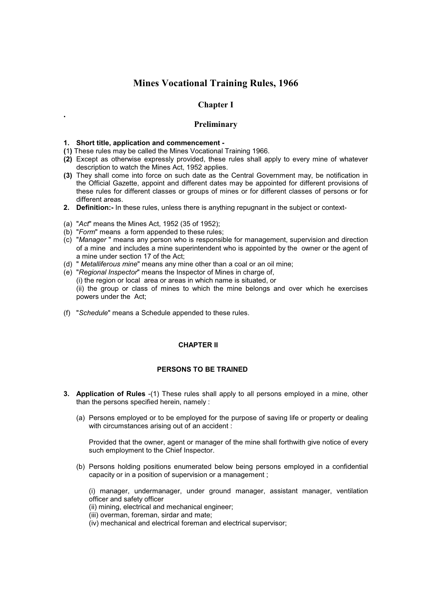# **Mines Vocational Training Rules, 1966**

# **Chapter I**

#### Preliminary **Preliminary**

#### **1. Short title, application and commencement -**

- **(**1**)** These rules may be called the Mines Vocational Training 1966.
- **(2)** Except as otherwise expressly provided, these rules shall apply to every mine of whatever description to watch the Mines Act, 1952 applies.
- **(3)** They shall come into force on such date as the Central Government may, be notification in the Official Gazette, appoint and different dates may be appointed for different provisions of these rules for different classes or groups of mines or for different classes of persons or for different areas.
- **2. Definition:-** In these rules, unless there is anything repugnant in the subject or context-
- (a) "*Act*" means the Mines Act, 1952 (35 of 1952);
- (b) "*Form*" means a form appended to these rules;
- (c) "*Manager* " means any person who is responsible for management, supervision and direction of a mine and includes a mine superintendent who is appointed by the owner or the agent of a mine under section 17 of the Act;
- (d) " *Metalliferous mine*" means any mine other than a coal or an oil mine;
- (e) "*Regional Inspector*" means the Inspector of Mines in charge of, (i) the region or local area or areas in which name is situated, or (ii) the group or class of mines to which the mine belongs and over which he exercises powers under the Act;
- (f) "*Schedule*" means a Schedule appended to these rules.

#### **CHAPTER II**

#### **PERSONS TO BE TRAINED**

- **3. Application of Rules** -(1) These rules shall apply to all persons employed in a mine, other than the persons specified herein, namely :
	- (a) Persons employed or to be employed for the purpose of saving life or property or dealing with circumstances arising out of an accident :

Provided that the owner, agent or manager of the mine shall forthwith give notice of every such employment to the Chief Inspector.

(b) Persons holding positions enumerated below being persons employed in a confidential capacity or in a position of supervision or a management ;

(i) manager, undermanager, under ground manager, assistant manager, ventilation officer and safety officer

- (ii) mining, electrical and mechanical engineer;
- (iii) overman, foreman, sirdar and mate;
- (iv) mechanical and electrical foreman and electrical supervisor;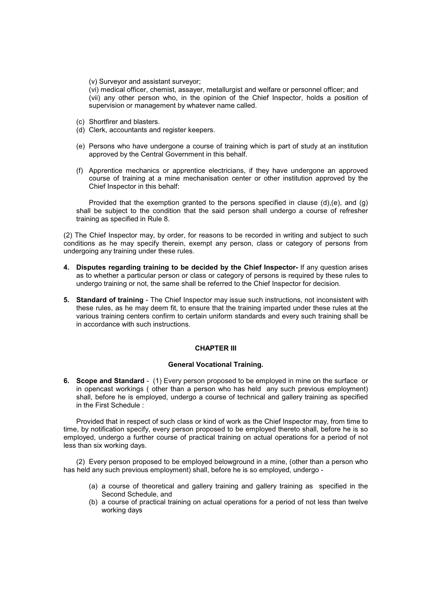(v) Surveyor and assistant surveyor;

(vi) medical officer, chemist, assayer, metallurgist and welfare or personnel officer; and (vii) any other person who, in the opinion of the Chief Inspector, holds a position of supervision or management by whatever name called.

- (c) Shortfirer and blasters.
- (d) Clerk, accountants and register keepers.
- (e) Persons who have undergone a course of training which is part of study at an institution approved by the Central Government in this behalf.
- (f) Apprentice mechanics or apprentice electricians, if they have undergone an approved course of training at a mine mechanisation center or other institution approved by the Chief Inspector in this behalf:

Provided that the exemption granted to the persons specified in clause (d),(e), and (g) shall be subject to the condition that the said person shall undergo a course of refresher training as specified in Rule 8.

(2) The Chief Inspector may, by order, for reasons to be recorded in writing and subject to such conditions as he may specify therein, exempt any person, class or category of persons from undergoing any training under these rules.

- **4. Disputes regarding training to be decided by the Chief Inspector-** If any question arises as to whether a particular person or class or category of persons is required by these rules to undergo training or not, the same shall be referred to the Chief Inspector for decision.
- **5. Standard of training** The Chief Inspector may issue such instructions, not inconsistent with these rules, as he may deem fit, to ensure that the training imparted under these rules at the various training centers confirm to certain uniform standards and every such training shall be in accordance with such instructions.

#### **CHAPTER III**

#### **General Vocational Training.**

**6. Scope and Standard** - (1) Every person proposed to be employed in mine on the surface or in opencast workings ( other than a person who has held any such previous employment) shall, before he is employed, undergo a course of technical and gallery training as specified in the First Schedule :

Provided that in respect of such class or kind of work as the Chief Inspector may, from time to time, by notification specify, every person proposed to be employed thereto shall, before he is so employed, undergo a further course of practical training on actual operations for a period of not less than six working days.

(2) Every person proposed to be employed belowground in a mine, (other than a person who has held any such previous employment) shall, before he is so employed, undergo -

- (a) a course of theoretical and gallery training and gallery training as specified in the Second Schedule, and
- (b) a course of practical training on actual operations for a period of not less than twelve working days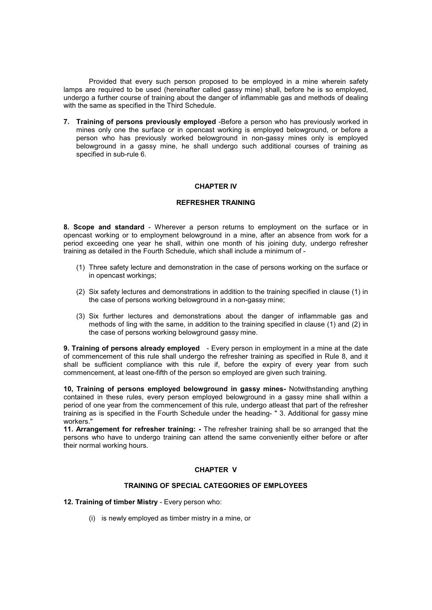Provided that every such person proposed to be employed in a mine wherein safety lamps are required to be used (hereinafter called gassy mine) shall, before he is so employed, undergo a further course of training about the danger of inflammable gas and methods of dealing with the same as specified in the Third Schedule.

**7. Training of persons previously employed** -Before a person who has previously worked in mines only one the surface or in opencast working is employed belowground, or before a person who has previously worked belowground in non-gassy mines only is employed belowground in a gassy mine, he shall undergo such additional courses of training as specified in sub-rule 6.

#### **CHAPTER IV**

## **REFRESHER TRAINING**

**8. Scope and standard** - Wherever a person returns to employment on the surface or in opencast working or to employment belowground in a mine, after an absence from work for a period exceeding one year he shall, within one month of his joining duty, undergo refresher training as detailed in the Fourth Schedule, which shall include a minimum of -

- (1) Three safety lecture and demonstration in the case of persons working on the surface or in opencast workings;
- (2) Six safety lectures and demonstrations in addition to the training specified in clause (1) in the case of persons working belowground in a non-gassy mine;
- (3) Six further lectures and demonstrations about the danger of inflammable gas and methods of ling with the same, in addition to the training specified in clause (1) and (2) in the case of persons working belowground gassy mine.

**9. Training of persons already employed** - Every person in employment in a mine at the date of commencement of this rule shall undergo the refresher training as specified in Rule 8, and it shall be sufficient compliance with this rule if, before the expiry of every year from such commencement, at least one-fifth of the person so employed are given such training.

**10, Training of persons employed belowground in gassy mines-** Notwithstanding anything contained in these rules, every person employed belowground in a gassy mine shall within a period of one year from the commencement of this rule, undergo atleast that part of the refresher training as is specified in the Fourth Schedule under the heading- " 3. Additional for gassy mine workers."

**11. Arrangement for refresher training: -** The refresher training shall be so arranged that the persons who have to undergo training can attend the same conveniently either before or after their normal working hours.

#### **CHAPTER V**

#### **TRAINING OF SPECIAL CATEGORIES OF EMPLOYEES**

- **12. Training of timber Mistry**  Every person who:
	- (i) is newly employed as timber mistry in a mine, or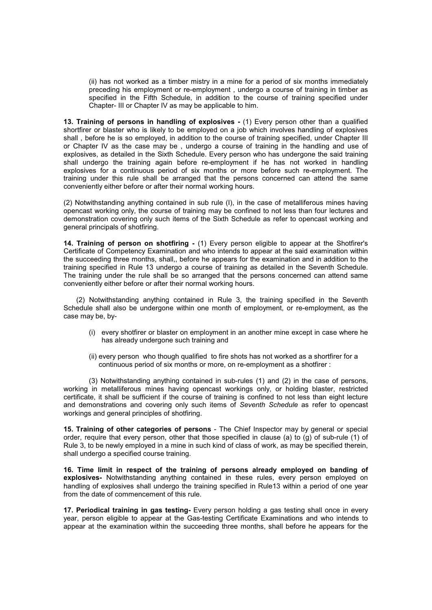(ii) has not worked as a timber mistry in a mine for a period of six months immediately preceding his employment or re-employment , undergo a course of training in timber as specified in the Fifth Schedule, in addition to the course of training specified under Chapter- III or Chapter IV as may be applicable to him.

**13. Training of persons in handling of explosives -** (1) Every person other than a qualified shortfirer or blaster who is likely to be employed on a job which involves handling of explosives shall , before he is so employed, in addition to the course of training specified, under Chapter III or Chapter IV as the case may be , undergo a course of training in the handling and use of explosives, as detailed in the Sixth Schedule. Every person who has undergone the said training shall undergo the training again before re-employment if he has not worked in handling explosives for a continuous period of six months or more before such re-employment. The training under this rule shall be arranged that the persons concerned can attend the same conveniently either before or after their normal working hours.

(2) Notwithstanding anything contained in sub rule (I), in the case of metalliferous mines having opencast working only, the course of training may be confined to not less than four lectures and demonstration covering only such items of the Sixth Schedule as refer to opencast working and general principals of shotfiring.

**14. Training of person on shotfiring -** (1) Every person eligible to appear at the Shotfirer's Certificate of Competency Examination and who intends to appear at the said examination within the succeeding three months, shall,, before he appears for the examination and in addition to the training specified in Rule 13 undergo a course of training as detailed in the Seventh Schedule. The training under the rule shall be so arranged that the persons concerned can attend same conveniently either before or after their normal working hours.

(2) Notwithstanding anything contained in Rule 3, the training specified in the Seventh Schedule shall also be undergone within one month of employment, or re-employment, as the case may be, by-

- (i) every shotfirer or blaster on employment in an another mine except in case where he has already undergone such training and
- (ii) every person who though qualified to fire shots has not worked as a shortfirer for a continuous period of six months or more, on re-employment as a shotfirer :

(3) Notwithstanding anything contained in sub-rules (1) and (2) in the case of persons, working in metalliferous mines having opencast workings only, or holding blaster, restricted certificate, it shall be sufficient if the course of training is confined to not less than eight lecture and demonstrations and covering only such items of *Seventh Schedule* as refer to opencast workings and general principles of shotfiring.

**15. Training of other categories of persons** - The Chief Inspector may by general or special order, require that every person, other that those specified in clause (a) to (g) of sub-rule (1) of Rule 3, to be newly employed in a mine in such kind of class of work, as may be specified therein, shall undergo a specified course training.

**16. Time limit in respect of the training of persons already employed on banding of explosives-** Notwithstanding anything contained in these rules, every person employed on handling of explosives shall undergo the training specified in Rule13 within a period of one year from the date of commencement of this rule.

**17. Periodical training in gas testing-** Every person holding a gas testing shall once in every year, person eligible to appear at the Gas-testing Certificate Examinations and who intends to appear at the examination within the succeeding three months, shall before he appears for the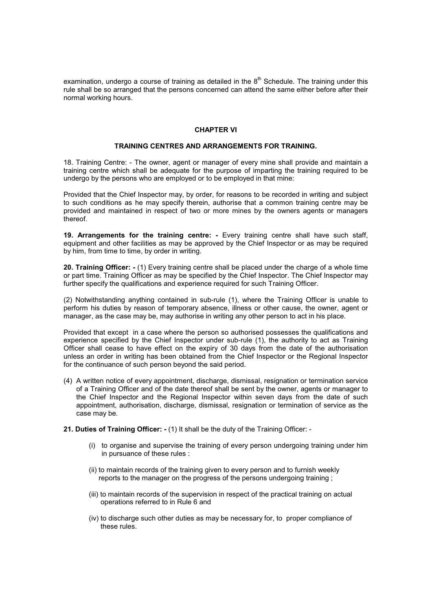examination, undergo a course of training as detailed in the  $8<sup>th</sup>$  Schedule. The training under this rule shall be so arranged that the persons concerned can attend the same either before after their normal working hours.

#### **CHAPTER VI**

#### **TRAINING CENTRES AND ARRANGEMENTS FOR TRAINING.**

18. Training Centre: - The owner, agent or manager of every mine shall provide and maintain a training centre which shall be adequate for the purpose of imparting the training required to be undergo by the persons who are employed or to be employed in that mine:

Provided that the Chief Inspector may, by order, for reasons to be recorded in writing and subject to such conditions as he may specify therein, authorise that a common training centre may be provided and maintained in respect of two or more mines by the owners agents or managers thereof.

**19. Arrangements for the training centre: -** Every training centre shall have such staff, equipment and other facilities as may be approved by the Chief Inspector or as may be required by him, from time to time, by order in writing.

**20. Training Officer: -** (1) Every training centre shall be placed under the charge of a whole time or part time. Training Officer as may be specified by the Chief Inspector. The Chief Inspector may further specify the qualifications and experience required for such Training Officer.

(2) Notwithstanding anything contained in sub-rule (1), where the Training Officer is unable to perform his duties by reason of temporary absence, illness or other cause, the owner, agent or manager, as the case may be, may authorise in writing any other person to act in his place.

Provided that except in a case where the person so authorised possesses the qualifications and experience specified by the Chief Inspector under sub-rule (1), the authority to act as Training Officer shall cease to have effect on the expiry of 30 days from the date of the authorisation unless an order in writing has been obtained from the Chief Inspector or the Regional Inspector for the continuance of such person beyond the said period.

(4) A written notice of every appointment, discharge, dismissal, resignation or termination service of a Training Officer and of the date thereof shall be sent by the owner, agents or manager to the Chief Inspector and the Regional Inspector within seven days from the date of such appointment, authorisation, discharge, dismissal, resignation or termination of service as the case may be.

#### **21. Duties of Training Officer: -** (1) It shall be the duty of the Training Officer: -

- (i) to organise and supervise the training of every person undergoing training under him in pursuance of these rules :
- (ii) to maintain records of the training given to every person and to furnish weekly reports to the manager on the progress of the persons undergoing training ;
- (iii) to maintain records of the supervision in respect of the practical training on actual operations referred to in Rule 6 and
- (iv) to discharge such other duties as may be necessary for, to proper compliance of these rules.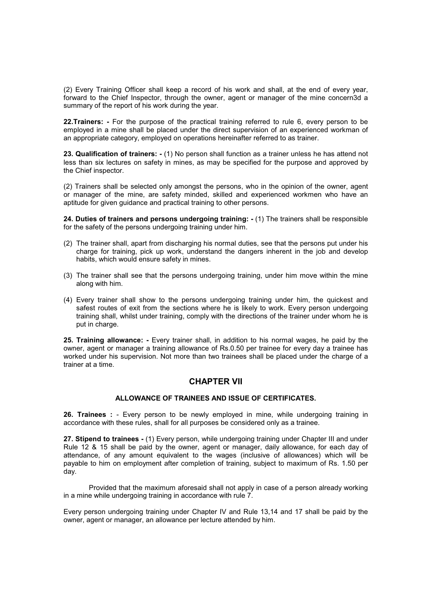(2) Every Training Officer shall keep a record of his work and shall, at the end of every year, forward to the Chief Inspector, through the owner, agent or manager of the mine concern3d a summary of the report of his work during the year.

**22.Trainers: -** For the purpose of the practical training referred to rule 6, every person to be employed in a mine shall be placed under the direct supervision of an experienced workman of an appropriate category, employed on operations hereinafter referred to as trainer.

**23. Qualification of trainers: -** (1) No person shall function as a trainer unless he has attend not less than six lectures on safety in mines, as may be specified for the purpose and approved by the Chief inspector.

(2) Trainers shall be selected only amongst the persons, who in the opinion of the owner, agent or manager of the mine, are safety minded, skilled and experienced workmen who have an aptitude for given guidance and practical training to other persons.

**24. Duties of trainers and persons undergoing training: -** (1) The trainers shall be responsible for the safety of the persons undergoing training under him.

- (2) The trainer shall, apart from discharging his normal duties, see that the persons put under his charge for training, pick up work, understand the dangers inherent in the job and develop habits, which would ensure safety in mines.
- (3) The trainer shall see that the persons undergoing training, under him move within the mine along with him.
- (4) Every trainer shall show to the persons undergoing training under him, the quickest and safest routes of exit from the sections where he is likely to work. Every person undergoing training shall, whilst under training, comply with the directions of the trainer under whom he is put in charge.

**25. Training allowance: -** Every trainer shall, in addition to his normal wages, he paid by the owner, agent or manager a training allowance of Rs.0.50 per trainee for every day a trainee has worked under his supervision. Not more than two trainees shall be placed under the charge of a trainer at a time.

## **CHAPTER VII**

#### **ALLOWANCE OF TRAINEES AND ISSUE OF CERTIFICATES.**

**26. Trainees :** - Every person to be newly employed in mine, while undergoing training in accordance with these rules, shall for all purposes be considered only as a trainee.

**27. Stipend to trainees -** (1) Every person, while undergoing training under Chapter III and under Rule 12 & 15 shall be paid by the owner, agent or manager, daily allowance, for each day of attendance, of any amount equivalent to the wages (inclusive of allowances) which will be payable to him on employment after completion of training, subject to maximum of Rs. 1.50 per day.

 Provided that the maximum aforesaid shall not apply in case of a person already working in a mine while undergoing training in accordance with rule 7.

Every person undergoing training under Chapter IV and Rule 13,14 and 17 shall be paid by the owner, agent or manager, an allowance per lecture attended by him.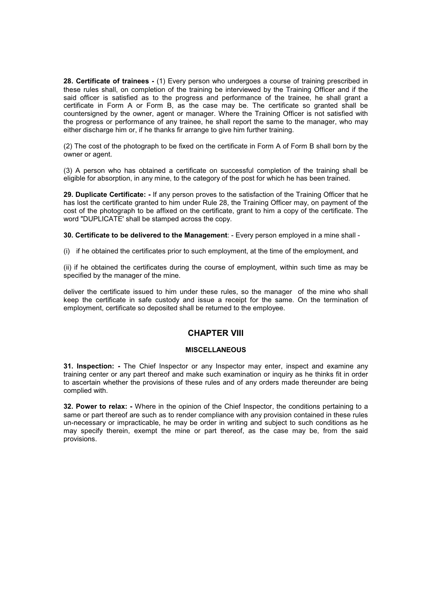**28. Certificate of trainees -** (1) Every person who undergoes a course of training prescribed in these rules shall, on completion of the training be interviewed by the Training Officer and if the said officer is satisfied as to the progress and performance of the trainee, he shall grant a certificate in Form A or Form B, as the case may be. The certificate so granted shall be countersigned by the owner, agent or manager. Where the Training Officer is not satisfied with the progress or performance of any trainee, he shall report the same to the manager, who may either discharge him or, if he thanks fir arrange to give him further training.

(2) The cost of the photograph to be fixed on the certificate in Form A of Form B shall born by the owner or agent.

(3) A person who has obtained a certificate on successful completion of the training shall be eligible for absorption, in any mine, to the category of the post for which he has been trained.

**29. Duplicate Certificate: -** If any person proves to the satisfaction of the Training Officer that he has lost the certificate granted to him under Rule 28, the Training Officer may, on payment of the cost of the photograph to be affixed on the certificate, grant to him a copy of the certificate. The word "DUPLICATE' shall be stamped across the copy.

**30. Certificate to be delivered to the Management**: - Every person employed in a mine shall -

(i) if he obtained the certificates prior to such employment, at the time of the employment, and

(ii) if he obtained the certificates during the course of employment, within such time as may be specified by the manager of the mine.

deliver the certificate issued to him under these rules, so the manager of the mine who shall keep the certificate in safe custody and issue a receipt for the same. On the termination of employment, certificate so deposited shall be returned to the employee.

## **CHAPTER VIII**

#### **MISCELLANEOUS**

**31. Inspection: -** The Chief Inspector or any Inspector may enter, inspect and examine any training center or any part thereof and make such examination or inquiry as he thinks fit in order to ascertain whether the provisions of these rules and of any orders made thereunder are being complied with.

**32. Power to relax: -** Where in the opinion of the Chief Inspector, the conditions pertaining to a same or part thereof are such as to render compliance with any provision contained in these rules un-necessary or impracticable, he may be order in writing and subject to such conditions as he may specify therein, exempt the mine or part thereof, as the case may be, from the said provisions.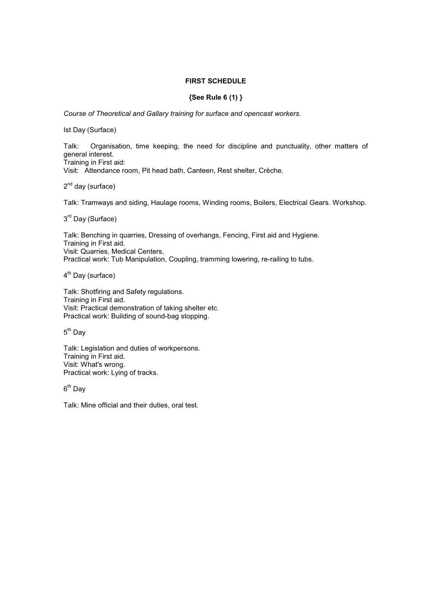### **FIRST SCHEDULE**

### **{See Rule 6 (1) }**

*Course of Theoretical and Gallary training for surface and opencast workers.* 

Ist Day (Surface)

Talk: Organisation, time keeping, the need for discipline and punctuality, other matters of general interest. Training in First aid:

Visit: Attendance room, Pit head bath, Canteen, Rest shelter, Crèche.

 $2^{nd}$  day (surface)

Talk: Tramways and siding, Haulage rooms, Winding rooms, Boilers, Electrical Gears. Workshop.

3<sup>rd</sup> Day (Surface)

Talk: Benching in quarries, Dressing of overhangs, Fencing, First aid and Hygiene. Training in First aid. Visit: Quarries, Medical Centers, Practical work: Tub Manipulation, Coupling, tramming lowering, re-railing to tubs.

4<sup>th</sup> Day (surface)

Talk: Shotfiring and Safety regulations. Training in First aid. Visit: Practical demonstration of taking shelter etc. Practical work: Building of sound-bag stopping.

 $5<sup>th</sup>$  Dav

Talk: Legislation and duties of workpersons. Training in First aid. Visit: What's wrong. Practical work: Lying of tracks.

 $6<sup>th</sup>$  Day

Talk: Mine official and their duties, oral test.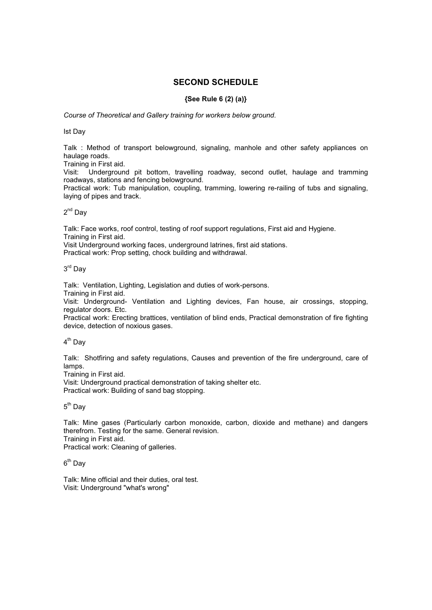## **SECOND SCHEDULE**

### **{See Rule 6 (2) (a)}**

*Course of Theoretical and Gallery training for workers below ground*.

Ist Day

Talk : Method of transport belowground, signaling, manhole and other safety appliances on haulage roads.

Training in First aid.

Visit: Underground pit bottom, travelling roadway, second outlet, haulage and tramming roadways, stations and fencing belowground.

Practical work: Tub manipulation, coupling, tramming, lowering re-railing of tubs and signaling, laying of pipes and track.

 $2^{nd}$  Dav

Talk: Face works, roof control, testing of roof support regulations, First aid and Hygiene. Training in First aid.

Visit Underground working faces, underground latrines, first aid stations.

Practical work: Prop setting, chock building and withdrawal.

3rd Day

Talk: Ventilation, Lighting, Legislation and duties of work-persons.

Training in First aid.

Visit: Underground- Ventilation and Lighting devices, Fan house, air crossings, stopping, regulator doors. Etc.

Practical work: Erecting brattices, ventilation of blind ends, Practical demonstration of fire fighting device, detection of noxious gases.

 $4<sup>th</sup>$  Day

Talk: Shotfiring and safety regulations, Causes and prevention of the fire underground, care of lamps.

Training in First aid.

Visit: Underground practical demonstration of taking shelter etc. Practical work: Building of sand bag stopping.

 $5<sup>th</sup>$  Day

Talk: Mine gases (Particularly carbon monoxide, carbon, dioxide and methane) and dangers therefrom. Testing for the same. General revision.

Training in First aid.

Practical work: Cleaning of galleries.

 $6<sup>th</sup>$  Dav

Talk: Mine official and their duties, oral test. Visit: Underground "what's wrong"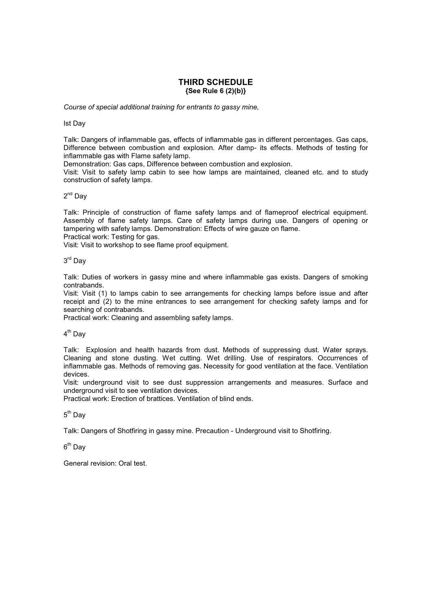## **THIRD SCHEDULE {See Rule 6 (2)(b)}**

*Course of special additional training for entrants to gassy mine,* 

#### Ist Day

Talk: Dangers of inflammable gas, effects of inflammable gas in different percentages. Gas caps, Difference between combustion and explosion. After damp- its effects. Methods of testing for inflammable gas with Flame safety lamp.

Demonstration: Gas caps, Difference between combustion and explosion.

Visit: Visit to safety lamp cabin to see how lamps are maintained, cleaned etc. and to study construction of safety lamps.

## 2<sup>nd</sup> Day

Talk: Principle of construction of flame safety lamps and of flameproof electrical equipment. Assembly of flame safety lamps. Care of safety lamps during use. Dangers of opening or tampering with safety lamps. Demonstration: Effects of wire gauze on flame. Practical work: Testing for gas.

Visit: Visit to workshop to see flame proof equipment.

3<sup>rd</sup> Dav

Talk: Duties of workers in gassy mine and where inflammable gas exists. Dangers of smoking contrabands.

Visit: Visit (1) to lamps cabin to see arrangements for checking lamps before issue and after receipt and (2) to the mine entrances to see arrangement for checking safety lamps and for searching of contrabands.

Practical work: Cleaning and assembling safety lamps.

 $4<sup>th</sup>$  Dav

Talk: Explosion and health hazards from dust. Methods of suppressing dust. Water sprays. Cleaning and stone dusting. Wet cutting. Wet drilling. Use of respirators. Occurrences of inflammable gas. Methods of removing gas. Necessity for good ventilation at the face. Ventilation devices.

Visit: underground visit to see dust suppression arrangements and measures. Surface and underground visit to see ventilation devices.

Practical work: Erection of brattices. Ventilation of blind ends.

#### $5<sup>th</sup>$  Dav

Talk: Dangers of Shotfiring in gassy mine. Precaution - Underground visit to Shotfiring.

 $6<sup>th</sup>$  Dav

General revision: Oral test.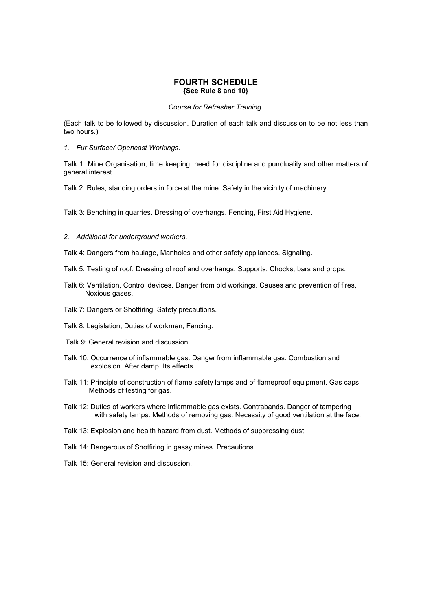#### **FOURTH SCHEDULE {See Rule 8 and 10}**

*Course for Refresher Training.* 

(Each talk to be followed by discussion. Duration of each talk and discussion to be not less than two hours.)

*1. Fur Surface/ Opencast Workings.* 

Talk 1: Mine Organisation, time keeping, need for discipline and punctuality and other matters of general interest.

Talk 2: Rules, standing orders in force at the mine. Safety in the vicinity of machinery.

Talk 3: Benching in quarries. Dressing of overhangs. Fencing, First Aid Hygiene.

#### *2. Additional for underground workers.*

Talk 4: Dangers from haulage, Manholes and other safety appliances. Signaling.

- Talk 5: Testing of roof, Dressing of roof and overhangs. Supports, Chocks, bars and props.
- Talk 6: Ventilation, Control devices. Danger from old workings. Causes and prevention of fires, Noxious gases.
- Talk 7: Dangers or Shotfiring, Safety precautions.
- Talk 8: Legislation, Duties of workmen, Fencing.
- Talk 9: General revision and discussion.
- Talk 10: Occurrence of inflammable gas. Danger from inflammable gas. Combustion and explosion. After damp. Its effects.
- Talk 11: Principle of construction of flame safety lamps and of flameproof equipment. Gas caps. Methods of testing for gas.
- Talk 12: Duties of workers where inflammable gas exists. Contrabands. Danger of tampering with safety lamps. Methods of removing gas. Necessity of good ventilation at the face.
- Talk 13: Explosion and health hazard from dust. Methods of suppressing dust.
- Talk 14: Dangerous of Shotfiring in gassy mines. Precautions.
- Talk 15: General revision and discussion.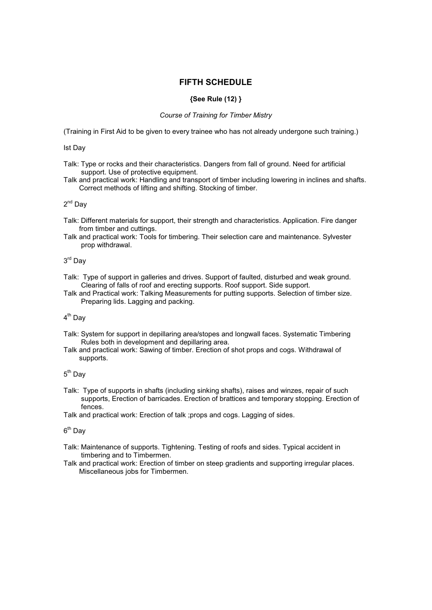## **FIFTH SCHEDULE**

#### **{See Rule (12) }**

#### *Course of Training for Timber Mistry*

(Training in First Aid to be given to every trainee who has not already undergone such training.)

#### Ist Day

Talk: Type or rocks and their characteristics. Dangers from fall of ground. Need for artificial support. Use of protective equipment.

Talk and practical work: Handling and transport of timber including lowering in inclines and shafts. Correct methods of lifting and shifting. Stocking of timber.

## $2^{nd}$  Dav

- Talk: Different materials for support, their strength and characteristics. Application. Fire danger from timber and cuttings.
- Talk and practical work: Tools for timbering. Their selection care and maintenance. Sylvester prop withdrawal.

## 3<sup>rd</sup> Dav

- Talk: Type of support in galleries and drives. Support of faulted, disturbed and weak ground. Clearing of falls of roof and erecting supports. Roof support. Side support.
- Talk and Practical work: Talking Measurements for putting supports. Selection of timber size. Preparing lids. Lagging and packing.

## $4<sup>th</sup>$  Dav

- Talk: System for support in depillaring area/stopes and longwall faces. Systematic Timbering Rules both in development and depillaring area.
- Talk and practical work: Sawing of timber. Erection of shot props and cogs. Withdrawal of supports.

## $5<sup>th</sup>$  Dav

Talk: Type of supports in shafts (including sinking shafts), raises and winzes, repair of such supports, Erection of barricades. Erection of brattices and temporary stopping. Erection of fences.

Talk and practical work: Erection of talk ;props and cogs. Lagging of sides.

## $6<sup>th</sup>$  Dav

- Talk: Maintenance of supports. Tightening. Testing of roofs and sides. Typical accident in timbering and to Timbermen.
- Talk and practical work: Erection of timber on steep gradients and supporting irregular places. Miscellaneous jobs for Timbermen.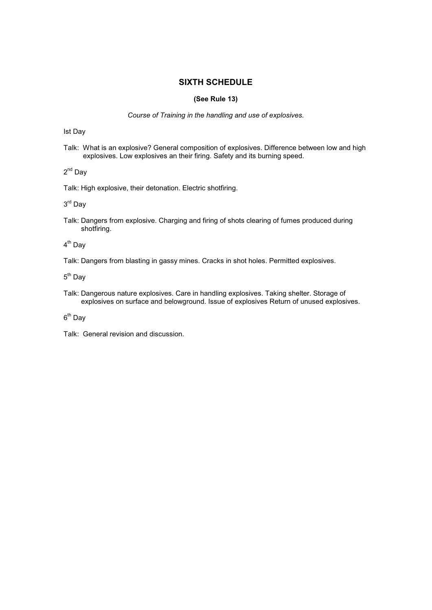## **SIXTH SCHEDULE**

## **(See Rule 13)**

#### *Course of Training in the handling and use of explosives.*

Ist Day

Talk: What is an explosive? General composition of explosives. Difference between low and high explosives. Low explosives an their firing. Safety and its burning speed.

2<sup>nd</sup> Day

Talk: High explosive, their detonation. Electric shotfiring.

3rd Day

Talk: Dangers from explosive. Charging and firing of shots clearing of fumes produced during shotfiring.

4<sup>th</sup> Dav

Talk: Dangers from blasting in gassy mines. Cracks in shot holes. Permitted explosives.

 $5<sup>th</sup>$  Day

Talk: Dangerous nature explosives. Care in handling explosives. Taking shelter. Storage of explosives on surface and belowground. Issue of explosives Return of unused explosives.

 $6<sup>th</sup>$  Dav

Talk: General revision and discussion.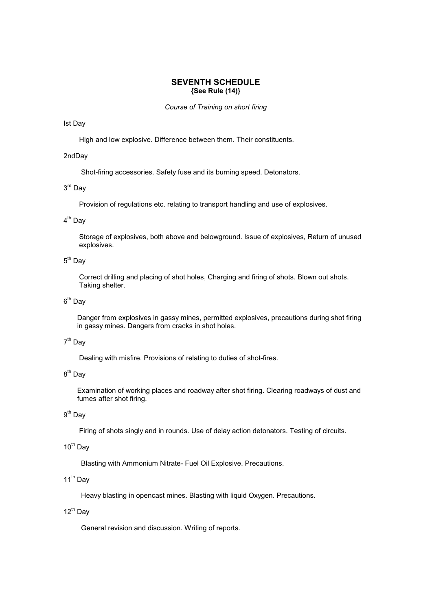## **SEVENTH SCHEDULE {See Rule (14)}**

*Course of Training on short firing* 

## Ist Day

High and low explosive. Difference between them. Their constituents.

## 2ndDay

Shot-firing accessories. Safety fuse and its burning speed. Detonators.

## 3rd Day

Provision of regulations etc. relating to transport handling and use of explosives.

## 4<sup>th</sup> Day

 Storage of explosives, both above and belowground. Issue of explosives, Return of unused explosives.

## $5<sup>th</sup>$  Day

 Correct drilling and placing of shot holes, Charging and firing of shots. Blown out shots. Taking shelter.

## $6<sup>th</sup>$  Dav

 Danger from explosives in gassy mines, permitted explosives, precautions during shot firing in gassy mines. Dangers from cracks in shot holes.

# 7<sup>th</sup> Day

Dealing with misfire. Provisions of relating to duties of shot-fires.

## 8<sup>th</sup> Day

 Examination of working places and roadway after shot firing. Clearing roadways of dust and fumes after shot firing.

## $9<sup>th</sup>$  Day

Firing of shots singly and in rounds. Use of delay action detonators. Testing of circuits.

## 10<sup>th</sup> Day

Blasting with Ammonium Nitrate- Fuel Oil Explosive. Precautions.

## $11^{th}$  Dav

Heavy blasting in opencast mines. Blasting with liquid Oxygen. Precautions.

## $12^{th}$  Dav

General revision and discussion. Writing of reports.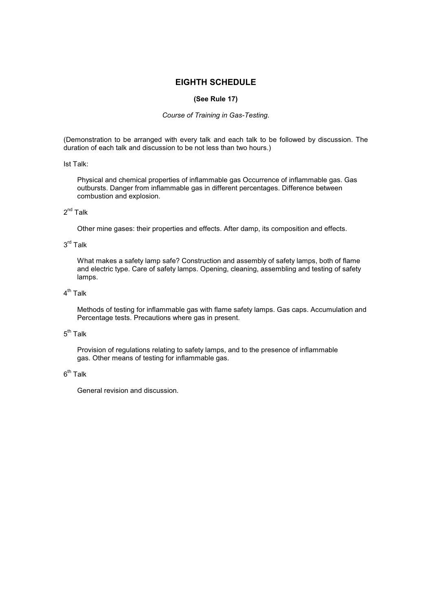## **EIGHTH SCHEDULE**

## **(See Rule 17)**

#### *Course of Training in Gas-Testing*.

(Demonstration to be arranged with every talk and each talk to be followed by discussion. The duration of each talk and discussion to be not less than two hours.)

#### Ist Talk:

 Physical and chemical properties of inflammable gas Occurrence of inflammable gas. Gas outbursts. Danger from inflammable gas in different percentages. Difference between combustion and explosion.

## $2^{nd}$  Talk

Other mine gases: their properties and effects. After damp, its composition and effects.

## 3<sup>rd</sup> Talk

 What makes a safety lamp safe? Construction and assembly of safety lamps, both of flame and electric type. Care of safety lamps. Opening, cleaning, assembling and testing of safety lamps.

# 4<sup>th</sup> Talk

 Methods of testing for inflammable gas with flame safety lamps. Gas caps. Accumulation and Percentage tests. Precautions where gas in present.

## $5<sup>th</sup>$  Talk

 Provision of regulations relating to safety lamps, and to the presence of inflammable gas. Other means of testing for inflammable gas.

## $6<sup>th</sup>$  Talk

General revision and discussion.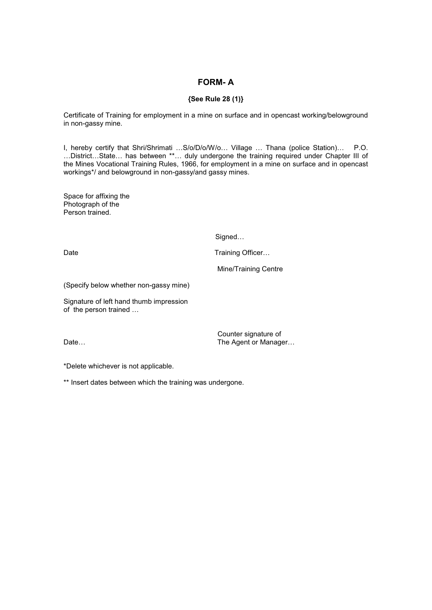## **FORM- A**

## **{See Rule 28 (1)}**

Certificate of Training for employment in a mine on surface and in opencast working/belowground in non-gassy mine.

I, hereby certify that Shri/Shrimati …S/o/D/o/W/o… Village … Thana (police Station)… P.O. …District…State… has between \*\*… duly undergone the training required under Chapter III of the Mines Vocational Training Rules, 1966, for employment in a mine on surface and in opencast workings\*/ and belowground in non-gassy/and gassy mines.

Space for affixing the Photograph of the Person trained.

Signed…

Date **Training Officer...** 

Mine/Training Centre

(Specify below whether non-gassy mine)

Signature of left hand thumb impression of the person trained …

 Counter signature of The Agent or Manager...

\*Delete whichever is not applicable.

\*\* Insert dates between which the training was undergone.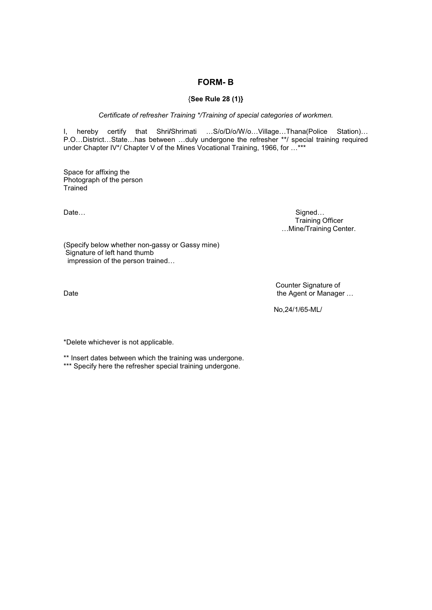## **FORM- B**

## {**See Rule 28 (1)}**

*Certificate of refresher Training \*/Training of special categories of workmen.* 

I, hereby certify that Shri**/**Shrimati …S/o/D/o/W/o…Village…Thana(Police Station)… P.O…District…State…has between …duly undergone the refresher \*\*/ special training required under Chapter IV\*/ Chapter V of the Mines Vocational Training, 1966, for ...\*\*\*

Space for affixing the Photograph of the person **Trained** 

Date… Signed… Training Officer …Mine/Training Center.

(Specify below whether non-gassy or Gassy mine) Signature of left hand thumb impression of the person trained…

Counter Signature of<br>
Date<br>
Date<br>
Date<br>
Date<br>
Counter Signature of the Agent or Manager ...

No,24/1/65-ML/

\*Delete whichever is not applicable.

\*\* Insert dates between which the training was undergone.

\*\*\* Specify here the refresher special training undergone.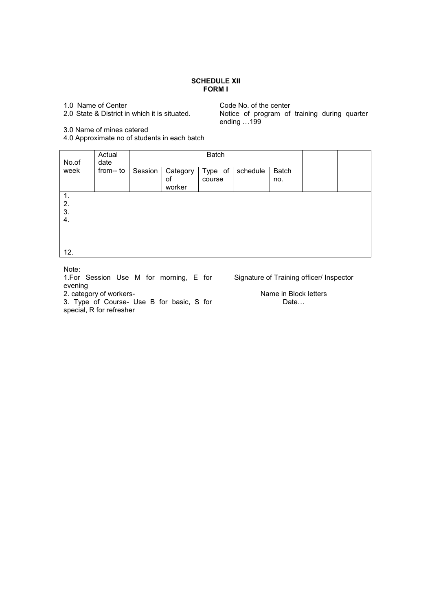#### **SCHEDULE XII FORM I**

- 
- 

3.0 Name of mines catered

4.0 Approximate no of students in each batch

1.0 Name of Center<br>
2.0 State & District in which it is situated. Code No. of the center<br>
2.0 State & District in which it is situated. Notice of program of Notice of program of training during quarter ending …199

| No.of                | Actual<br>date | Batch   |                          |                   |          |                     |  |
|----------------------|----------------|---------|--------------------------|-------------------|----------|---------------------|--|
| week                 | from-- to      | Session | Category<br>of<br>worker | Type of<br>course | schedule | <b>Batch</b><br>no. |  |
| 1.<br>2.<br>3.<br>4. |                |         |                          |                   |          |                     |  |
| 12.                  |                |         |                          |                   |          |                     |  |

Note:

1.For Session Use M for morning, E for evening

Signature of Training officer/ Inspector

Date…

2. category of workers- Name in Block letters 3. Type of Course- Use B for basic, S for

special, R for refresher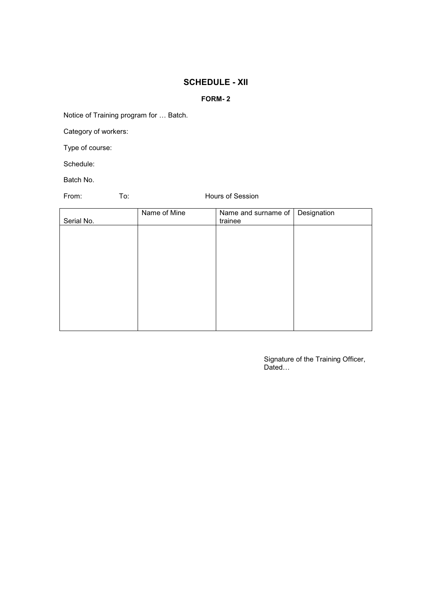## **FORM- 2**

Notice of Training program for … Batch.

Category of workers:

Type of course:

Schedule:

Batch No.

From: To: To: Hours of Session

| Serial No. | Name of Mine | Name and surname of $\vert$ Designation<br>trainee |  |
|------------|--------------|----------------------------------------------------|--|
|            |              |                                                    |  |
|            |              |                                                    |  |
|            |              |                                                    |  |
|            |              |                                                    |  |
|            |              |                                                    |  |
|            |              |                                                    |  |

Signature of the Training Officer, Dated…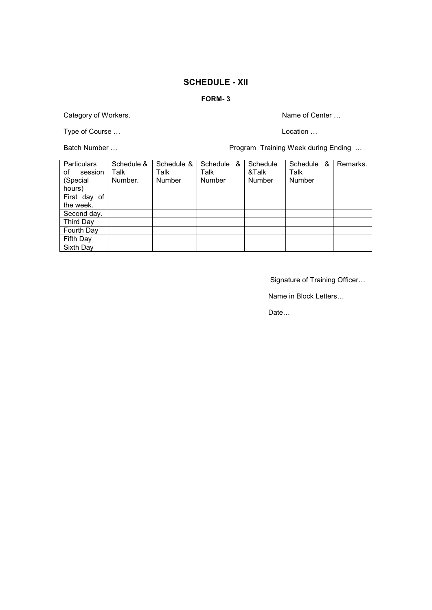## **FORM- 3**

Category of Workers. The Category of Workers.

Type of Course … Location …

Batch Number … Program Training Week during Ending …

| <b>Particulars</b><br>οf<br>session<br>(Special<br>hours) | Schedule &<br>Talk<br>Number. | Schedule &<br>Talk<br>Number | &<br>Schedule<br>Talk<br>Number | Schedule<br>&Talk<br>Number | &<br>Schedule<br>Talk<br>Number | Remarks. |
|-----------------------------------------------------------|-------------------------------|------------------------------|---------------------------------|-----------------------------|---------------------------------|----------|
| First day of                                              |                               |                              |                                 |                             |                                 |          |
| the week.                                                 |                               |                              |                                 |                             |                                 |          |
| Second day.                                               |                               |                              |                                 |                             |                                 |          |
| Third Day                                                 |                               |                              |                                 |                             |                                 |          |
| Fourth Day                                                |                               |                              |                                 |                             |                                 |          |
| Fifth Day                                                 |                               |                              |                                 |                             |                                 |          |
| Sixth Day                                                 |                               |                              |                                 |                             |                                 |          |

Signature of Training Officer…

Name in Block Letters…

Date…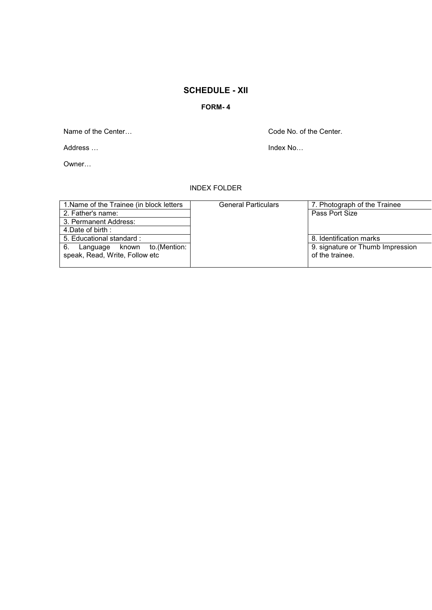## **FORM- 4**

Name of the Center… Code No. of the Center.

Address … Index No…

Owner…

## INDEX FOLDER

| 1. Name of the Trainee (in block letters | <b>General Particulars</b> | 7. Photograph of the Trainee     |
|------------------------------------------|----------------------------|----------------------------------|
| 2. Father's name:                        |                            | Pass Port Size                   |
| 3. Permanent Address:                    |                            |                                  |
| 4. Date of birth:                        |                            |                                  |
| 5. Educational standard:                 |                            | 8. Identification marks          |
| Language known to. (Mention:<br>6.       |                            | 9. signature or Thumb Impression |
| speak, Read, Write, Follow etc           |                            | of the trainee.                  |
|                                          |                            |                                  |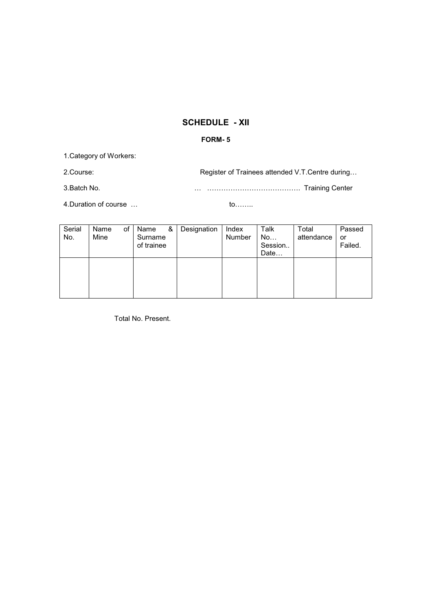# **FORM- 5**

1.Category of Workers:

2.Course: Register of Trainees attended V.T.Centre during…

3.Batch No. … …………………………………. Training Center

4. Duration of course … to…….. to…….

| Serial<br>No. | Name<br>Mine | of | Name<br>Surname<br>of trainee | & | Designation | Index<br>Number | Talk<br>No<br>Session<br>Date | Total<br>attendance | Passed<br>or<br>Failed. |
|---------------|--------------|----|-------------------------------|---|-------------|-----------------|-------------------------------|---------------------|-------------------------|
|               |              |    |                               |   |             |                 |                               |                     |                         |

Total No. Present.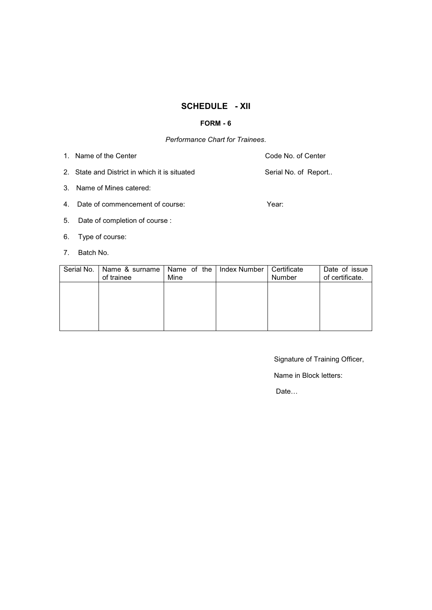## **FORM - 6**

*Performance Chart for Trainees*.

- 1. Name of the Center Code No. of Center Code No. of Center
- 2. State and District in which it is situated Serial No. of Report..

- 3. Name of Mines catered:
- 4. Date of commencement of course: Year:
- 5. Date of completion of course :
- 6. Type of course:
- 7. Batch No.

| Serial No. | Name & surname   Name of the   Index Number<br>of trainee | Mine | Certificate<br>Number | Date of issue<br>of certificate. |
|------------|-----------------------------------------------------------|------|-----------------------|----------------------------------|
|            |                                                           |      |                       |                                  |
|            |                                                           |      |                       |                                  |
|            |                                                           |      |                       |                                  |

Signature of Training Officer,

Name in Block letters:

Date…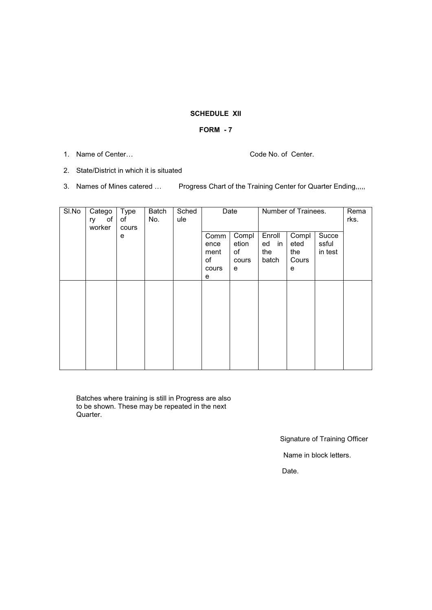#### **FORM - 7**

1. Name of Center… Code No. of Center.

- 2. State/District in which it is situated
- 3. Names of Mines catered … Progress Chart of the Training Center for Quarter Ending,,,,,

| SI.No | Catego<br>of<br>ry<br>worker | Type<br>of<br>cours | Batch<br>No. | Sched<br>ule |                                          | Date                               |                                 | Number of Trainees.                |                           | Rema<br>rks. |
|-------|------------------------------|---------------------|--------------|--------------|------------------------------------------|------------------------------------|---------------------------------|------------------------------------|---------------------------|--------------|
|       |                              | e                   |              |              | Comm<br>ence<br>ment<br>of<br>cours<br>е | Compl<br>etion<br>of<br>cours<br>е | Enroll<br>ed in<br>the<br>batch | Compl<br>eted<br>the<br>Cours<br>e | Succe<br>ssful<br>in test |              |
|       |                              |                     |              |              |                                          |                                    |                                 |                                    |                           |              |

Batches where training is still in Progress are also to be shown. These may be repeated in the next Quarter.

Signature of Training Officer

Name in block letters.

Date.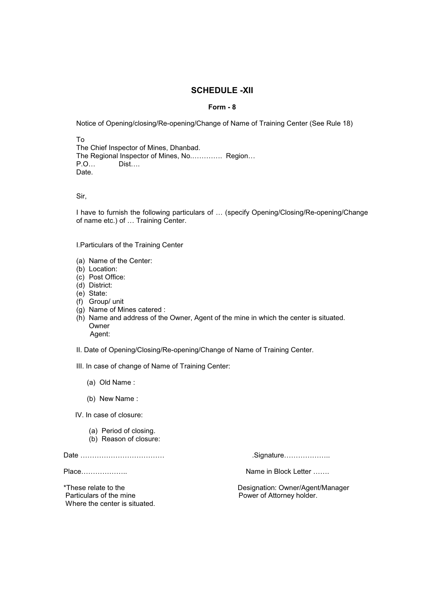#### **Form - 8**

Notice of Opening/closing/Re-opening/Change of Name of Training Center (See Rule 18)

To

The Chief Inspector of Mines, Dhanbad. The Regional Inspector of Mines, No............... Region...<br>P O \_\_\_\_\_\_\_\_ Dist.... P.O… Dist…. Date.

Sir,

I have to furnish the following particulars of … (specify Opening/Closing/Re-opening/Change of name etc.) of … Training Center.

I.Particulars of the Training Center

- (a) Name of the Center:
- (b) Location:
- (c) Post Office:
- (d) District:
- (e) State:
- (f) Group/ unit
- (g) Name of Mines catered :
- (h) Name and address of the Owner, Agent of the mine in which the center is situated. Owner Agent:

II. Date of Opening/Closing/Re-opening/Change of Name of Training Center.

III. In case of change of Name of Training Center:

- (a) Old Name :
- (b) New Name :

IV. In case of closure:

- (a) Period of closing.
- (b) Reason of closure:

Date ……………………………… .Signature………………..

Where the center is situated.

Place……………….. Name in Block Letter …….

\*These relate to the the number of the Designation: Owner/Agent/Manager<br>
Power of Attorney holder. Power of Attorney holder.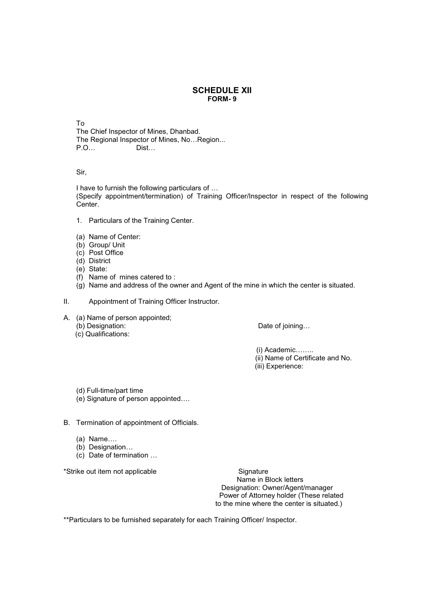## **SCHEDULE XII FORM- 9**

To The Chief Inspector of Mines, Dhanbad. The Regional Inspector of Mines, No…Region... P.O… Dist…

Sir,

I have to furnish the following particulars of … (Specify appointment/termination) of Training Officer/Inspector in respect of the following Center.

- 1. Particulars of the Training Center.
- (a) Name of Center:
- (b) Group/ Unit
- (c) Post Office
- (d) District
- (e) State:
- (f) Name of mines catered to :
- (g) Name and address of the owner and Agent of the mine in which the center is situated.
- II. Appointment of Training Officer Instructor.
- A. (a) Name of person appointed;<br>(b) Designation:
	-
	- (c) Qualifications:

Date of joining...

(i) Academic……..

- (ii) Name of Certificate and No.
- (iii) Experience:

- (d) Full-time/part time
- (e) Signature of person appointed….
- B. Termination of appointment of Officials.
	- (a) Name….
	- (b) Designation…
	- (c) Date of termination …

\*Strike out item not applicable strategy and strike Signature

 Name in Block letters Designation: Owner/Agent/manager Power of Attorney holder (These related to the mine where the center is situated.)

\*\*Particulars to be furnished separately for each Training Officer/ Inspector.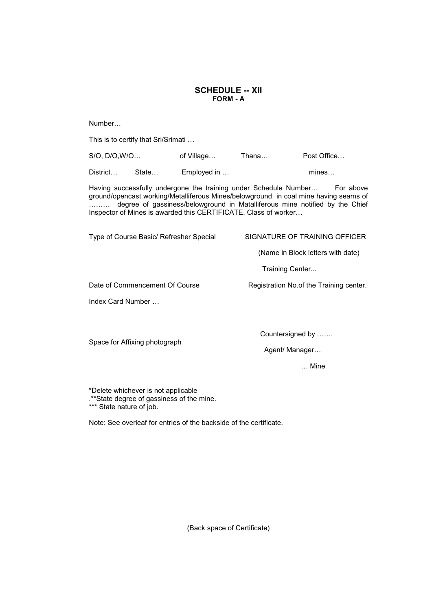## **SCHEDULE -- XII FORM - A**

Number…

This is to certify that Sri/Srimati …

S/O, D/O, W/O... of Village... Thana... Post Office... District… State… Employed in … mines… mines…

Having successfully undergone the training under Schedule Number... For above ground/opencast working/Metalliferous Mines/belowground in coal mine having seams of ……… degree of gassiness/belowground in Matalliferous mine notified by the Chief Inspector of Mines is awarded this CERTIFICATE. Class of worker…

#### Type of Course Basic/ Refresher Special SIGNATURE OF TRAINING OFFICER

(Name in Block letters with date)

Training Center...

Date of Commencement Of Course Registration No.of the Training center.

Index Card Number …

Space for Affixing photograph

Countersigned by …….

Agent/ Manager…

… Mine

\*Delete whichever is not applicable

.\*\*State degree of gassiness of the mine.

\*\*\* State nature of job.

Note: See overleaf for entries of the backside of the certificate.

(Back space of Certificate)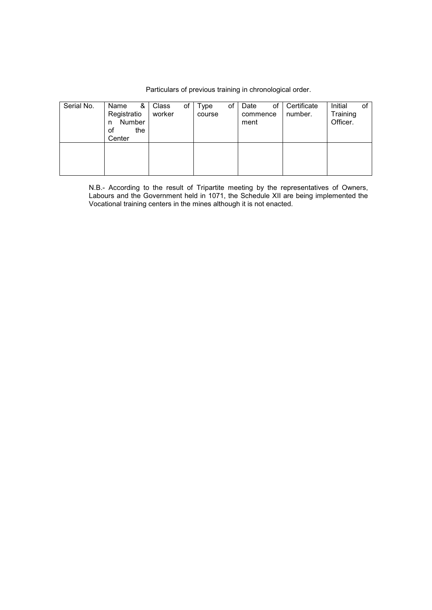| Particulars of previous training in chronological order. |  |  |  |  |
|----------------------------------------------------------|--|--|--|--|
|                                                          |  |  |  |  |

| Serial No. | &<br>Name<br>Registratio<br>Number<br>n<br>the<br>οf<br>Center | Class<br>of<br>worker | of<br>Type<br>course | of<br>Date<br>commence<br>ment | Certificate<br>number. | Initial<br>of<br>Training<br>Officer. |
|------------|----------------------------------------------------------------|-----------------------|----------------------|--------------------------------|------------------------|---------------------------------------|
|            |                                                                |                       |                      |                                |                        |                                       |

N.B.- According to the result of Tripartite meeting by the representatives of Owners, Labours and the Government held in 1071, the Schedule XII are being implemented the Vocational training centers in the mines although it is not enacted.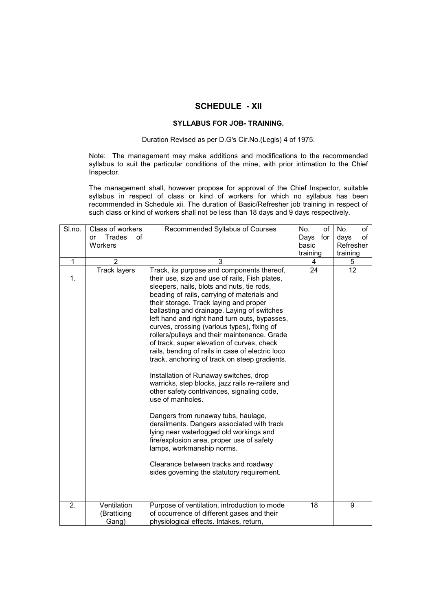## **SYLLABUS FOR JOB- TRAINING.**

#### Duration Revised as per D.G's Cir.No.(Legis) 4 of 1975.

Note: The management may make additions and modifications to the recommended syllabus to suit the particular conditions of the mine, with prior intimation to the Chief Inspector.

The management shall, however propose for approval of the Chief Inspector, suitable syllabus in respect of class or kind of workers for which no syllabus has been recommended in Schedule xii. The duration of Basic/Refresher job training in respect of such class or kind of workers shall not be less than 18 days and 9 days respectively.

| SI.no.       | Class of workers    | Recommended Syllabus of Courses                                                            | No.      | of  | No.       | of |
|--------------|---------------------|--------------------------------------------------------------------------------------------|----------|-----|-----------|----|
|              | Trades<br>οf<br>or  |                                                                                            | Days     | for | days      | of |
|              | Workers             |                                                                                            | basic    |     | Refresher |    |
|              |                     |                                                                                            | training |     | training  |    |
| $\mathbf{1}$ | $\overline{2}$      | 3                                                                                          | 4        |     | 5         |    |
|              | <b>Track layers</b> | Track, its purpose and components thereof,                                                 | 24       |     | 12        |    |
| 1.           |                     | their use, size and use of rails, Fish plates,                                             |          |     |           |    |
|              |                     | sleepers, nails, blots and nuts, tie rods,                                                 |          |     |           |    |
|              |                     | beading of rails, carrying of materials and                                                |          |     |           |    |
|              |                     | their storage. Track laying and proper                                                     |          |     |           |    |
|              |                     | ballasting and drainage. Laying of switches                                                |          |     |           |    |
|              |                     | left hand and right hand turn outs, bypasses,                                              |          |     |           |    |
|              |                     | curves, crossing (various types), fixing of                                                |          |     |           |    |
|              |                     | rollers/pulleys and their maintenance. Grade                                               |          |     |           |    |
|              |                     | of track, super elevation of curves, check                                                 |          |     |           |    |
|              |                     | rails, bending of rails in case of electric loco                                           |          |     |           |    |
|              |                     | track, anchoring of track on steep gradients.                                              |          |     |           |    |
|              |                     | Installation of Runaway switches, drop                                                     |          |     |           |    |
|              |                     | warricks, step blocks, jazz rails re-railers and                                           |          |     |           |    |
|              |                     | other safety contrivances, signaling code,                                                 |          |     |           |    |
|              |                     | use of manholes.                                                                           |          |     |           |    |
|              |                     |                                                                                            |          |     |           |    |
|              |                     | Dangers from runaway tubs, haulage,                                                        |          |     |           |    |
|              |                     | derailments. Dangers associated with track                                                 |          |     |           |    |
|              |                     | lying near waterlogged old workings and                                                    |          |     |           |    |
|              |                     | fire/explosion area, proper use of safety                                                  |          |     |           |    |
|              |                     | lamps, workmanship norms.                                                                  |          |     |           |    |
|              |                     |                                                                                            |          |     |           |    |
|              |                     | Clearance between tracks and roadway                                                       |          |     |           |    |
|              |                     | sides governing the statutory requirement.                                                 |          |     |           |    |
|              |                     |                                                                                            |          |     |           |    |
|              |                     |                                                                                            |          |     |           |    |
| 2.           | Ventilation         |                                                                                            | 18       |     | 9         |    |
|              |                     | Purpose of ventilation, introduction to mode<br>of occurrence of different gases and their |          |     |           |    |
|              | (Bratticing         | physiological effects. Intakes, return,                                                    |          |     |           |    |
|              | Gang)               |                                                                                            |          |     |           |    |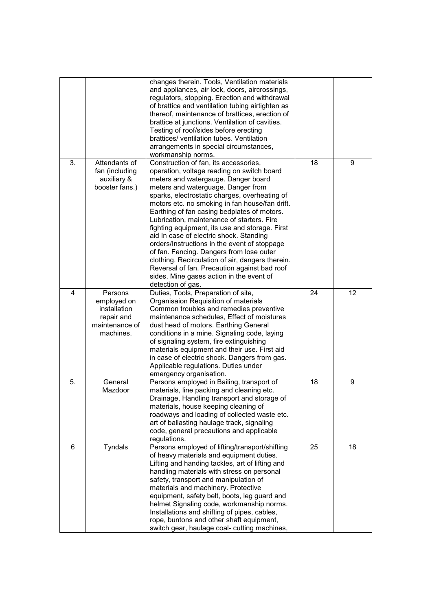|    |                                                                                     | changes therein. Tools, Ventilation materials<br>and appliances, air lock, doors, aircrossings,<br>regulators, stopping. Erection and withdrawal<br>of brattice and ventilation tubing airtighten as<br>thereof, maintenance of brattices, erection of<br>brattice at junctions. Ventilation of cavities.<br>Testing of roof/sides before erecting<br>brattices/ ventilation tubes. Ventilation<br>arrangements in special circumstances,<br>workmanship norms.                                                                                                                                                                                                                                                                |    |    |
|----|-------------------------------------------------------------------------------------|--------------------------------------------------------------------------------------------------------------------------------------------------------------------------------------------------------------------------------------------------------------------------------------------------------------------------------------------------------------------------------------------------------------------------------------------------------------------------------------------------------------------------------------------------------------------------------------------------------------------------------------------------------------------------------------------------------------------------------|----|----|
| 3. | Attendants of<br>fan (including<br>auxiliary &<br>booster fans.)                    | Construction of fan, its accessories,<br>operation, voltage reading on switch board<br>meters and watergauge. Danger board<br>meters and waterguage. Danger from<br>sparks, electrostatic charges, overheating of<br>motors etc. no smoking in fan house/fan drift.<br>Earthing of fan casing bedplates of motors.<br>Lubrication, maintenance of starters. Fire<br>fighting equipment, its use and storage. First<br>aid In case of electric shock. Standing<br>orders/Instructions in the event of stoppage<br>of fan. Fencing. Dangers from lose outer<br>clothing. Recirculation of air, dangers therein.<br>Reversal of fan. Precaution against bad roof<br>sides. Mine gases action in the event of<br>detection of gas. | 18 | 9  |
| 4  | Persons<br>employed on<br>installation<br>repair and<br>maintenance of<br>machines. | Duties, Tools, Preparation of site,<br>Organisaion Requisition of materials<br>Common troubles and remedies preventive<br>maintenance schedules, Effect of moistures<br>dust head of motors. Earthing General<br>conditions in a mine. Signaling code, laying<br>of signaling system, fire extinguishing<br>materials equipment and their use. First aid<br>in case of electric shock. Dangers from gas.<br>Applicable regulations. Duties under<br>emergency organisation.                                                                                                                                                                                                                                                    | 24 | 12 |
| 5. | General<br>Mazdoor                                                                  | Persons employed in Bailing, transport of<br>materials, line packing and cleaning etc.<br>Drainage, Handling transport and storage of<br>materials, house keeping cleaning of<br>roadways and loading of collected waste etc.<br>art of ballasting haulage track, signaling<br>code, general precautions and applicable<br>regulations.                                                                                                                                                                                                                                                                                                                                                                                        | 18 | 9  |
| 6  | Tyndals                                                                             | Persons employed of lifting/transport/shifting<br>of heavy materials and equipment duties.<br>Lifting and handing tackles, art of lifting and<br>handling materials with stress on personal<br>safety, transport and manipulation of<br>materials and machinery. Protective<br>equipment, safety belt, boots, leg guard and<br>helmet Signaling code, workmanship norms.<br>Installations and shifting of pipes, cables,<br>rope, buntons and other shaft equipment,<br>switch gear, haulage coal- cutting machines,                                                                                                                                                                                                           | 25 | 18 |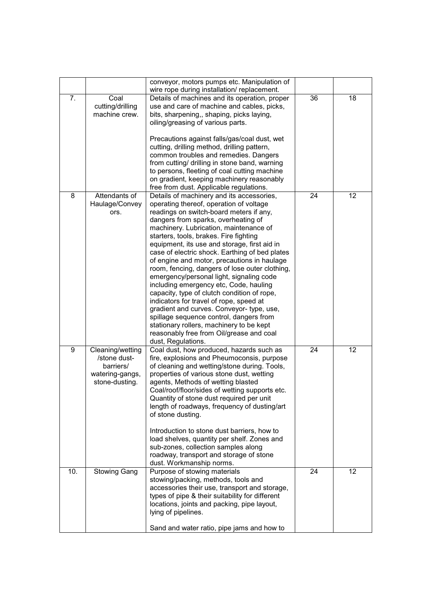|                |                                                                | conveyor, motors pumps etc. Manipulation of<br>wire rope during installation/ replacement.                                                                                                                                                                                                                                                                                                                                                                                                                                                                                                                                                                                                                                                                                                             |    |    |
|----------------|----------------------------------------------------------------|--------------------------------------------------------------------------------------------------------------------------------------------------------------------------------------------------------------------------------------------------------------------------------------------------------------------------------------------------------------------------------------------------------------------------------------------------------------------------------------------------------------------------------------------------------------------------------------------------------------------------------------------------------------------------------------------------------------------------------------------------------------------------------------------------------|----|----|
| 7.             | Coal<br>cutting/drilling<br>machine crew.                      | Details of machines and its operation, proper<br>use and care of machine and cables, picks,<br>bits, sharpening,, shaping, picks laying,<br>oiling/greasing of various parts.<br>Precautions against falls/gas/coal dust, wet<br>cutting, drilling method, drilling pattern,<br>common troubles and remedies. Dangers<br>from cutting/ drilling in stone band, warning<br>to persons, fleeting of coal cutting machine<br>on gradient, keeping machinery reasonably<br>free from dust. Applicable regulations.                                                                                                                                                                                                                                                                                         | 36 | 18 |
| 8              | Attendants of                                                  | Details of machinery and its accessories,                                                                                                                                                                                                                                                                                                                                                                                                                                                                                                                                                                                                                                                                                                                                                              | 24 | 12 |
|                | Haulage/Convey<br>ors.                                         | operating thereof, operation of voltage<br>readings on switch-board meters if any,<br>dangers from sparks, overheating of<br>machinery. Lubrication, maintenance of<br>starters, tools, brakes. Fire fighting<br>equipment, its use and storage, first aid in<br>case of electric shock. Earthing of bed plates<br>of engine and motor, precautions in haulage<br>room, fencing, dangers of lose outer clothing,<br>emergency/personal light, signaling code<br>including emergency etc, Code, hauling<br>capacity, type of clutch condition of rope,<br>indicators for travel of rope, speed at<br>gradient and curves. Conveyor- type, use,<br>spillage sequence control, dangers from<br>stationary rollers, machinery to be kept<br>reasonably free from Oil/grease and coal<br>dust, Regulations. |    |    |
| $\overline{9}$ | Cleaning/wetting                                               | Coal dust, how produced, hazards such as                                                                                                                                                                                                                                                                                                                                                                                                                                                                                                                                                                                                                                                                                                                                                               | 24 | 12 |
|                | /stone dust-<br>barriers/<br>watering-gangs,<br>stone-dusting. | fire, explosions and Pheumoconsis, purpose<br>of cleaning and wetting/stone during. Tools,<br>properties of various stone dust, wetting<br>agents, Methods of wetting blasted<br>Coal/roof/floor/sides of wetting supports etc.<br>Quantity of stone dust required per unit<br>length of roadways, frequency of dusting/art<br>of stone dusting.<br>Introduction to stone dust barriers, how to<br>load shelves, quantity per shelf. Zones and<br>sub-zones, collection samples along<br>roadway, transport and storage of stone<br>dust. Workmanship norms.                                                                                                                                                                                                                                           |    |    |
| 10.            | <b>Stowing Gang</b>                                            | Purpose of stowing materials                                                                                                                                                                                                                                                                                                                                                                                                                                                                                                                                                                                                                                                                                                                                                                           | 24 | 12 |
|                |                                                                | stowing/packing, methods, tools and<br>accessories their use, transport and storage,<br>types of pipe & their suitability for different<br>locations, joints and packing, pipe layout,<br>lying of pipelines.<br>Sand and water ratio, pipe jams and how to                                                                                                                                                                                                                                                                                                                                                                                                                                                                                                                                            |    |    |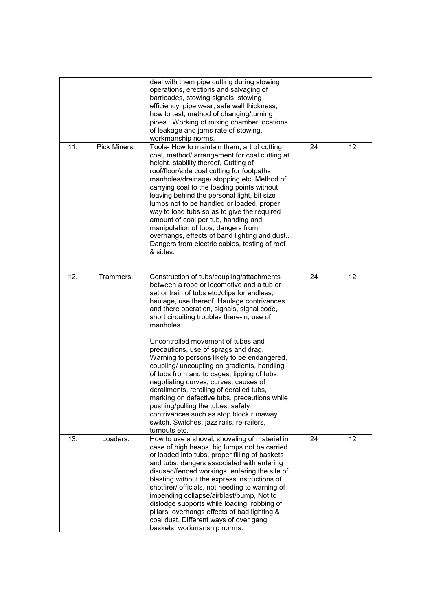|     |              | deal with them pipe cutting during stowing<br>operations, erections and salvaging of<br>barricades, stowing signals, stowing<br>efficiency, pipe wear, safe wall thickness,<br>how to test, method of changing/turning<br>pipes Working of mixing chamber locations<br>of leakage and jams rate of stowing,<br>workmanship norms.                                                                                                                                                                                                                                                                                     |    |    |
|-----|--------------|-----------------------------------------------------------------------------------------------------------------------------------------------------------------------------------------------------------------------------------------------------------------------------------------------------------------------------------------------------------------------------------------------------------------------------------------------------------------------------------------------------------------------------------------------------------------------------------------------------------------------|----|----|
| 11. | Pick Miners. | Tools- How to maintain them, art of cutting<br>coal, method/ arrangement for coal cutting at<br>height, stability thereof, Cutting of<br>roof/floor/side coal cutting for footpaths<br>manholes/drainage/ stopping etc. Method of<br>carrying coal to the loading points without<br>leaving behind the personal light, bit size<br>lumps not to be handled or loaded, proper<br>way to load tubs so as to give the required<br>amount of coal per tub, handing and<br>manipulation of tubs, dangers from<br>overhangs, effects of band lighting and dust<br>Dangers from electric cables, testing of roof<br>& sides. | 24 | 12 |
| 12. | Trammers.    | Construction of tubs/coupling/attachments<br>between a rope or locomotive and a tub or<br>set or train of tubs etc./clips for endless,<br>haulage, use thereof. Haulage contrivances<br>and there operation, signals, signal code,<br>short circuiting troubles there-in, use of<br>manholes.                                                                                                                                                                                                                                                                                                                         | 24 | 12 |
|     |              | Uncontrolled movement of tubes and<br>precautions, use of sprags and drag.<br>Warning to persons likely to be endangered,<br>coupling/ uncoupling on gradients, handling<br>of tubs from and to cages, tipping of tubs,<br>negotiating curves, curves, causes of<br>derailments, rerailing of derailed tubs,<br>marking on defective tubs, precautions while<br>pushing/pulling the tubes, safety<br>contrivances such as stop block runaway<br>switch. Switches, jazz rails, re-railers,<br>turnouts etc.                                                                                                            |    |    |
| 13. | Loaders.     | How to use a shovel, shoveling of material in<br>case of high heaps, big lumps not be carried<br>or loaded into tubs, proper filling of baskets<br>and tubs, dangers associated with entering<br>disused/fenced workings, entering the site of<br>blasting without the express instructions of<br>shotfirer/ officials, not heeding to warning of<br>impending collapse/airblast/bump, Not to<br>dislodge supports while loading, robbing of<br>pillars, overhangs effects of bad lighting &<br>coal dust. Different ways of over gang<br>baskets, workmanship norms.                                                 | 24 | 12 |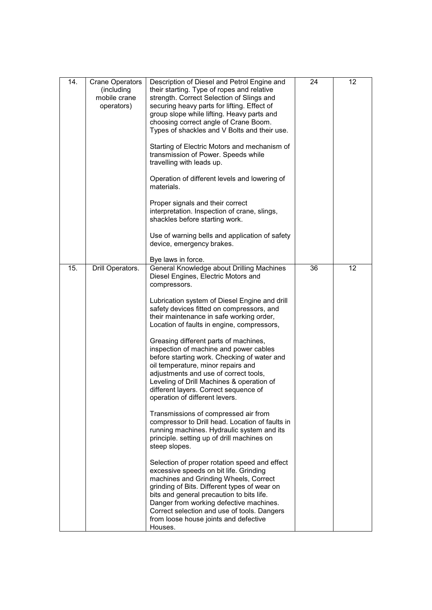| 14. | <b>Crane Operators</b><br>(including<br>mobile crane<br>operators) | Description of Diesel and Petrol Engine and<br>their starting. Type of ropes and relative<br>strength. Correct Selection of Slings and<br>securing heavy parts for lifting. Effect of<br>group slope while lifting. Heavy parts and<br>choosing correct angle of Crane Boom.<br>Types of shackles and V Bolts and their use.<br>Starting of Electric Motors and mechanism of<br>transmission of Power. Speeds while<br>travelling with leads up.<br>Operation of different levels and lowering of<br>materials.<br>Proper signals and their correct<br>interpretation. Inspection of crane, slings,<br>shackles before starting work.<br>Use of warning bells and application of safety<br>device, emergency brakes.<br>Bye laws in force.                                                                                                                                                                                                                                                                                                                                                                                                                                                                               | 24 | $12 \overline{ }$ |
|-----|--------------------------------------------------------------------|--------------------------------------------------------------------------------------------------------------------------------------------------------------------------------------------------------------------------------------------------------------------------------------------------------------------------------------------------------------------------------------------------------------------------------------------------------------------------------------------------------------------------------------------------------------------------------------------------------------------------------------------------------------------------------------------------------------------------------------------------------------------------------------------------------------------------------------------------------------------------------------------------------------------------------------------------------------------------------------------------------------------------------------------------------------------------------------------------------------------------------------------------------------------------------------------------------------------------|----|-------------------|
| 15. | Drill Operators.                                                   | General Knowledge about Drilling Machines<br>Diesel Engines, Electric Motors and<br>compressors.<br>Lubrication system of Diesel Engine and drill<br>safety devices fitted on compressors, and<br>their maintenance in safe working order,<br>Location of faults in engine, compressors,<br>Greasing different parts of machines,<br>inspection of machine and power cables<br>before starting work. Checking of water and<br>oil temperature, minor repairs and<br>adjustments and use of correct tools,<br>Leveling of Drill Machines & operation of<br>different layers. Correct sequence of<br>operation of different levers.<br>Transmissions of compressed air from<br>compressor to Drill head. Location of faults in<br>running machines. Hydraulic system and its<br>principle. setting up of drill machines on<br>steep slopes.<br>Selection of proper rotation speed and effect<br>excessive speeds on bit life. Grinding<br>machines and Grinding Wheels, Correct<br>grinding of Bits. Different types of wear on<br>bits and general precaution to bits life.<br>Danger from working defective machines.<br>Correct selection and use of tools. Dangers<br>from loose house joints and defective<br>Houses. | 36 | 12                |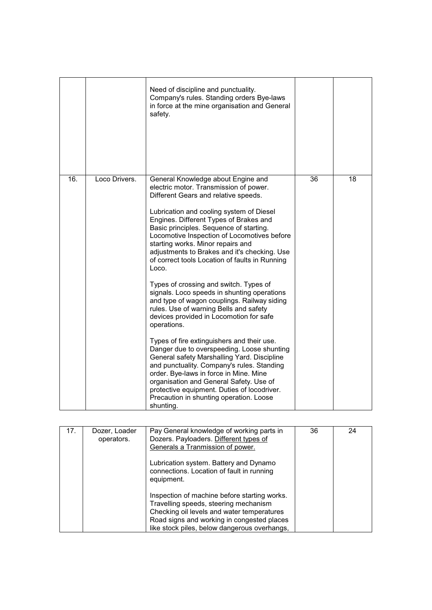|     |               | Need of discipline and punctuality.<br>Company's rules. Standing orders Bye-laws<br>in force at the mine organisation and General<br>safety.                                                                                                                                                                                                                                                                                                                                                                                                                                                                                                                                                                                                                                                                                                                                                                                                                                                                                                                                          |    |    |
|-----|---------------|---------------------------------------------------------------------------------------------------------------------------------------------------------------------------------------------------------------------------------------------------------------------------------------------------------------------------------------------------------------------------------------------------------------------------------------------------------------------------------------------------------------------------------------------------------------------------------------------------------------------------------------------------------------------------------------------------------------------------------------------------------------------------------------------------------------------------------------------------------------------------------------------------------------------------------------------------------------------------------------------------------------------------------------------------------------------------------------|----|----|
| 16. | Loco Drivers. | General Knowledge about Engine and<br>electric motor. Transmission of power.<br>Different Gears and relative speeds.<br>Lubrication and cooling system of Diesel<br>Engines. Different Types of Brakes and<br>Basic principles. Sequence of starting.<br>Locomotive Inspection of Locomotives before<br>starting works. Minor repairs and<br>adjustments to Brakes and it's checking. Use<br>of correct tools Location of faults in Running<br>Loco.<br>Types of crossing and switch. Types of<br>signals. Loco speeds in shunting operations<br>and type of wagon couplings. Railway siding<br>rules. Use of warning Bells and safety<br>devices provided in Locomotion for safe<br>operations.<br>Types of fire extinguishers and their use.<br>Danger due to overspeeding. Loose shunting<br>General safety Marshalling Yard. Discipline<br>and punctuality. Company's rules. Standing<br>order. Bye-laws in force in Mine. Mine<br>organisation and General Safety. Use of<br>protective equipment. Duties of locodriver.<br>Precaution in shunting operation. Loose<br>shunting. | 36 | 18 |

| 17. | Dozer, Loader<br>operators. | Pay General knowledge of working parts in<br>Dozers. Payloaders. Different types of                                                                                                                                               | 36 | 24 |
|-----|-----------------------------|-----------------------------------------------------------------------------------------------------------------------------------------------------------------------------------------------------------------------------------|----|----|
|     |                             | Generals a Tranmission of power.                                                                                                                                                                                                  |    |    |
|     |                             | Lubrication system. Battery and Dynamo<br>connections. Location of fault in running<br>equipment.                                                                                                                                 |    |    |
|     |                             | Inspection of machine before starting works.<br>Travelling speeds, steering mechanism<br>Checking oil levels and water temperatures<br>Road signs and working in congested places<br>like stock piles, below dangerous overhangs, |    |    |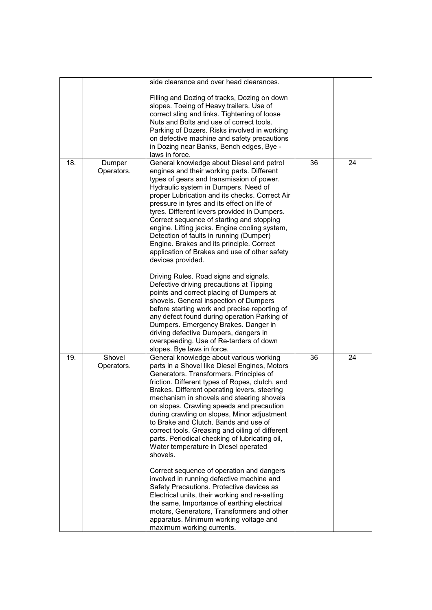|     |                      | side clearance and over head clearances.                                                                                                                                                                                                                                                                                                                                                                                                                                                                                                                                                                                                                                                                                                                                                                                                                               |    |    |
|-----|----------------------|------------------------------------------------------------------------------------------------------------------------------------------------------------------------------------------------------------------------------------------------------------------------------------------------------------------------------------------------------------------------------------------------------------------------------------------------------------------------------------------------------------------------------------------------------------------------------------------------------------------------------------------------------------------------------------------------------------------------------------------------------------------------------------------------------------------------------------------------------------------------|----|----|
|     |                      | Filling and Dozing of tracks, Dozing on down<br>slopes. Toeing of Heavy trailers. Use of<br>correct sling and links. Tightening of loose<br>Nuts and Bolts and use of correct tools.<br>Parking of Dozers. Risks involved in working<br>on defective machine and safety precautions<br>in Dozing near Banks, Bench edges, Bye -<br>laws in force.                                                                                                                                                                                                                                                                                                                                                                                                                                                                                                                      |    |    |
| 18. | Dumper<br>Operators. | General knowledge about Diesel and petrol<br>engines and their working parts. Different<br>types of gears and transmission of power.<br>Hydraulic system in Dumpers. Need of<br>proper Lubrication and its checks. Correct Air<br>pressure in tyres and its effect on life of<br>tyres. Different levers provided in Dumpers.<br>Correct sequence of starting and stopping<br>engine. Lifting jacks. Engine cooling system,<br>Detection of faults in running (Dumper)<br>Engine. Brakes and its principle. Correct<br>application of Brakes and use of other safety<br>devices provided.<br>Driving Rules. Road signs and signals.<br>Defective driving precautions at Tipping<br>points and correct placing of Dumpers at<br>shovels. General inspection of Dumpers<br>before starting work and precise reporting of<br>any defect found during operation Parking of | 36 | 24 |
|     |                      | Dumpers. Emergency Brakes. Danger in<br>driving defective Dumpers, dangers in<br>overspeeding. Use of Re-tarders of down<br>slopes. Bye laws in force.                                                                                                                                                                                                                                                                                                                                                                                                                                                                                                                                                                                                                                                                                                                 |    |    |
| 19. | Shovel<br>Operators. | General knowledge about various working<br>parts in a Shovel like Diesel Engines, Motors<br>Generators. Transformers. Principles of<br>friction. Different types of Ropes, clutch, and<br>Brakes. Different operating levers, steering<br>mechanism in shovels and steering shovels<br>on slopes. Crawling speeds and precaution<br>during crawling on slopes, Minor adjustment<br>to Brake and Clutch. Bands and use of<br>correct tools. Greasing and oiling of different<br>parts. Periodical checking of lubricating oil,<br>Water temperature in Diesel operated<br>shovels.                                                                                                                                                                                                                                                                                      | 36 | 24 |
|     |                      | Correct sequence of operation and dangers<br>involved in running defective machine and<br>Safety Precautions. Protective devices as<br>Electrical units, their working and re-setting<br>the same, Importance of earthing electrical<br>motors, Generators, Transformers and other<br>apparatus. Minimum working voltage and<br>maximum working currents.                                                                                                                                                                                                                                                                                                                                                                                                                                                                                                              |    |    |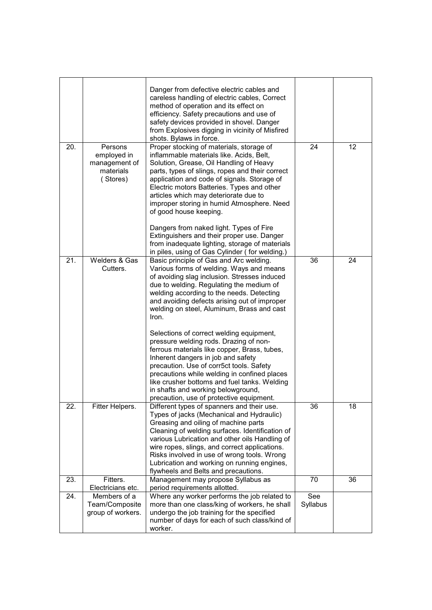|     |                                                                  | Danger from defective electric cables and<br>careless handling of electric cables, Correct<br>method of operation and its effect on<br>efficiency. Safety precautions and use of<br>safety devices provided in shovel. Danger<br>from Explosives digging in vicinity of Misfired<br>shots. Bylaws in force.                                                                                                                 |          |    |
|-----|------------------------------------------------------------------|-----------------------------------------------------------------------------------------------------------------------------------------------------------------------------------------------------------------------------------------------------------------------------------------------------------------------------------------------------------------------------------------------------------------------------|----------|----|
| 20. | Persons<br>employed in<br>management of<br>materials<br>(Stores) | Proper stocking of materials, storage of<br>inflammable materials like. Acids, Belt,<br>Solution, Grease, Oil Handling of Heavy<br>parts, types of slings, ropes and their correct<br>application and code of signals. Storage of<br>Electric motors Batteries. Types and other<br>articles which may deteriorate due to<br>improper storing in humid Atmosphere. Need<br>of good house keeping.                            | 24       | 12 |
|     |                                                                  | Dangers from naked light. Types of Fire<br>Extinguishers and their proper use. Danger<br>from inadequate lighting, storage of materials<br>in piles, using of Gas Cylinder (for welding.)                                                                                                                                                                                                                                   |          |    |
| 21. | Welders & Gas<br>Cutters.                                        | Basic principle of Gas and Arc welding.<br>Various forms of welding. Ways and means<br>of avoiding slag inclusion. Stresses induced<br>due to welding. Regulating the medium of<br>welding according to the needs. Detecting<br>and avoiding defects arising out of improper<br>welding on steel, Aluminum, Brass and cast<br>Iron.                                                                                         | 36       | 24 |
|     |                                                                  | Selections of correct welding equipment,<br>pressure welding rods. Drazing of non-<br>ferrous materials like copper, Brass, tubes,<br>Inherent dangers in job and safety<br>precaution. Use of corr5ct tools. Safety<br>precautions while welding in confined places<br>like crusher bottoms and fuel tanks. Welding<br>in shafts and working belowground,<br>precaution, use of protective equipment.                      |          |    |
| 22. | Fitter Helpers.                                                  | Different types of spanners and their use.<br>Types of jacks (Mechanical and Hydraulic)<br>Greasing and oiling of machine parts<br>Cleaning of welding surfaces. Identification of<br>various Lubrication and other oils Handling of<br>wire ropes, slings, and correct applications.<br>Risks involved in use of wrong tools. Wrong<br>Lubrication and working on running engines,<br>flywheels and Belts and precautions. | 36       | 18 |
| 23. | Fitters.                                                         | Management may propose Syllabus as                                                                                                                                                                                                                                                                                                                                                                                          | 70       | 36 |
|     | Electricians etc.                                                | period requirements allotted.                                                                                                                                                                                                                                                                                                                                                                                               |          |    |
| 24. | Members of a                                                     | Where any worker performs the job related to                                                                                                                                                                                                                                                                                                                                                                                | See      |    |
|     | Team/Composite                                                   | more than one class/king of workers, he shall                                                                                                                                                                                                                                                                                                                                                                               | Syllabus |    |
|     | group of workers.                                                | undergo the job training for the specified<br>number of days for each of such class/kind of<br>worker.                                                                                                                                                                                                                                                                                                                      |          |    |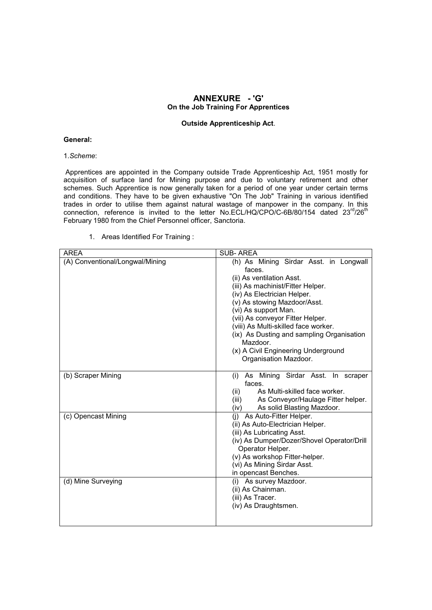## **ANNEXURE - 'G' On the Job Training For Apprentices**

## **Outside Apprenticeship Act**.

#### **General:**

#### 1.*Scheme*:

 Apprentices are appointed in the Company outside Trade Apprenticeship Act, 1951 mostly for acquisition of surface land for Mining purpose and due to voluntary retirement and other schemes. Such Apprentice is now generally taken for a period of one year under certain terms and conditions. They have to be given exhaustive "On The Job" Training in various identified trades in order to utilise them against natural wastage of manpower in the company. In this connection, reference is invited to the letter No.ECL/HQ/CPO/C-6B/80/154 dated 23<sup>rd</sup>/26<sup>th</sup> February 1980 from the Chief Personnel officer, Sanctoria.

1. Areas Identified For Training :

| <b>AREA</b>                     | <b>SUB-AREA</b>                                                                                                                                                                                                                                                                                                                                                                                                |  |  |  |
|---------------------------------|----------------------------------------------------------------------------------------------------------------------------------------------------------------------------------------------------------------------------------------------------------------------------------------------------------------------------------------------------------------------------------------------------------------|--|--|--|
| (A) Conventional/Longwal/Mining | (h) As Mining Sirdar Asst. in Longwall<br>faces.<br>(ii) As ventilation Asst.<br>(iii) As machinist/Fitter Helper.<br>(iv) As Electrician Helper.<br>(v) As stowing Mazdoor/Asst.<br>(vi) As support Man.<br>(vii) As conveyor Fitter Helper.<br>(viii) As Multi-skilled face worker.<br>(ix) As Dusting and sampling Organisation<br>Mazdoor.<br>(x) A Civil Engineering Underground<br>Organisation Mazdoor. |  |  |  |
| (b) Scraper Mining              | As Mining Sirdar Asst. In scraper<br>(i)<br>faces.<br>As Multi-skilled face worker.<br>(ii)<br>As Conveyor/Haulage Fitter helper.<br>(iii)<br>(iv)<br>As solid Blasting Mazdoor.                                                                                                                                                                                                                               |  |  |  |
| (c) Opencast Mining             | (i) As Auto-Fitter Helper.<br>(ii) As Auto-Electrician Helper.<br>(iii) As Lubricating Asst.<br>(iv) As Dumper/Dozer/Shovel Operator/Drill<br>Operator Helper.<br>(v) As workshop Fitter-helper.<br>(vi) As Mining Sirdar Asst.<br>in opencast Benches.                                                                                                                                                        |  |  |  |
| (d) Mine Surveying              | (i) As survey Mazdoor.<br>(ii) As Chainman.<br>(iii) As Tracer.<br>(iv) As Draughtsmen.                                                                                                                                                                                                                                                                                                                        |  |  |  |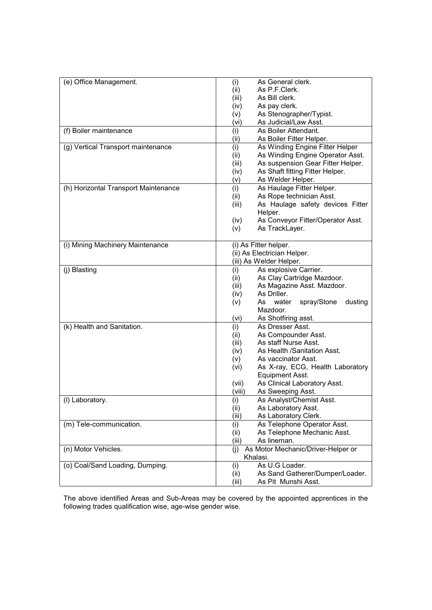| (e) Office Management.               | (i)<br>As General clerk.                              |
|--------------------------------------|-------------------------------------------------------|
|                                      | (ii)<br>As P.F.Clerk.                                 |
|                                      | (iii)<br>As Bill clerk.                               |
|                                      | (iv)<br>As pay clerk.                                 |
|                                      | As Stenographer/Typist.<br>(v)                        |
|                                      | As Judicial/Law Asst.<br>(vi)                         |
| (f) Boiler maintenance               | As Boiler Attendant.<br>(i)                           |
|                                      | (ii)<br>As Boiler Fitter Helper.                      |
| (g) Vertical Transport maintenance   | As Winding Engine Fitter Helper<br>(i)                |
|                                      | As Winding Engine Operator Asst.<br>(ii)              |
|                                      | As suspension Gear Fitter Helper.<br>(iii)            |
|                                      | As Shaft fitting Fitter Helper.<br>(iv)               |
|                                      | As Welder Helper.<br>$(\vee)$                         |
| (h) Horizontal Transport Maintenance | As Haulage Fitter Helper.<br>(i)                      |
|                                      | As Rope technician Asst.<br>(ii)                      |
|                                      | As Haulage safety devices Fitter<br>(iii)             |
|                                      | Helper.                                               |
|                                      | As Conveyor Fitter/Operator Asst.<br>(iv)             |
|                                      | As TrackLayer.<br>(v)                                 |
| (i) Mining Machinery Maintenance     | (i) As Fitter helper.                                 |
|                                      |                                                       |
|                                      | (ii) As Electrician Helper.                           |
|                                      | (iii) As Welder Helper.                               |
| (j) Blasting                         | As explosive Carrier.<br>(i)                          |
|                                      | As Clay Cartridge Mazdoor.<br>(ii)                    |
|                                      | As Magazine Asst. Mazdoor.<br>(iii)                   |
|                                      | As Driller.<br>(iv)                                   |
|                                      | water<br>spray/Stone<br>As<br>dusting<br>(v)          |
|                                      | Mazdoor.                                              |
|                                      | As Shotfiring asst.<br>(vi)                           |
| (k) Health and Sanitation.           | As Dresser Asst.<br>(i)                               |
|                                      | As Compounder Asst.<br>(ii)                           |
|                                      | As staff Nurse Asst.<br>(iii)                         |
|                                      | As Health /Sanitation Asst.<br>(iv)                   |
|                                      | As vaccinator Asst.<br>(v)                            |
|                                      | As X-ray, ECG, Health Laboratory<br>(vi)              |
|                                      | Equipment Asst.                                       |
|                                      | As Clinical Laboratory Asst.<br>(vii)                 |
|                                      | As Sweeping Asst.<br>(viii)                           |
| (I) Laboratory.                      | As Analyst/Chemist Asst.<br>(i)                       |
|                                      | As Laboratory Asst.<br>(ii)                           |
|                                      | As Laboratory Clerk.<br>(iii)                         |
| (m) Tele-communication.              | As Telephone Operator Asst.<br>(i)                    |
|                                      | As Telephone Mechanic Asst.<br>(ii)                   |
|                                      | As lineman.<br>(iii)                                  |
| (n) Motor Vehicles.                  | As Motor Mechanic/Driver-Helper or<br>(i)<br>Khalasi. |
| (o) Coal/Sand Loading, Dumping.      | As U.G Loader.                                        |
|                                      | (i)                                                   |
|                                      | As Sand Gatherer/Dumper/Loader.<br>(ii)               |
|                                      | As Pit Munshi Asst.<br>(iii)                          |

The above identified Areas and Sub-Areas may be covered by the appointed apprentices in the following trades qualification wise, age-wise gender wise.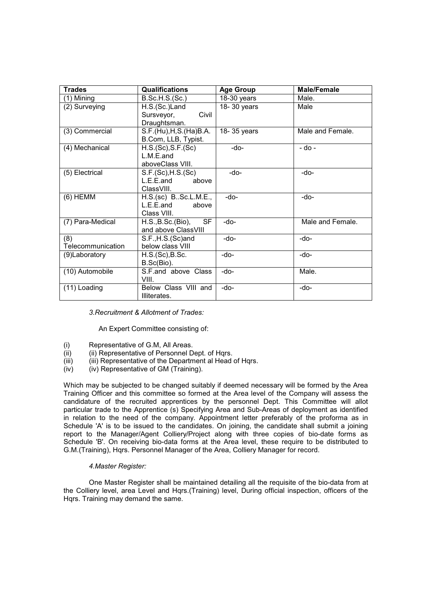| <b>Trades</b>            | <b>Qualifications</b>                                         | <b>Age Group</b> | Male/Female      |
|--------------------------|---------------------------------------------------------------|------------------|------------------|
| (1) Mining               | B.Sc.H.S.(Sc.)                                                | $18-30$ years    | Male.            |
| (2) Surveying            | H.S.(Sc.)Land<br>Civil<br>Sursveyor,<br>Draughtsman.          | 18-30 years      | Male             |
| (3) Commercial           | S.F.(Hu), H, S. (Ha) B.A.<br>B.Com, LLB, Typist.              | 18-35 years      | Male and Female. |
| (4) Mechanical           | H.S.(Sc), S.F.(Sc)<br>L.M.E.and<br>aboveClass VIII.           | $-do-$           | $-dO$ -          |
| (5) Electrical           | S.F.(Sc), H.S.(Sc)<br>$L.E.E.$ and<br>above<br>ClassVIII.     | -do-             | $-do-$           |
| (6) HEMM                 | H.S.(sc) B.Sc.L.M.E.,<br>$L.E.E.$ and<br>above<br>Class VIII. | -do-             | -do-             |
| (7) Para-Medical         | SF<br>H.S., B.Sc.(Bio),<br>and above ClassVIII                | -do-             | Male and Female. |
| (8)<br>Telecommunication | S.F.,H.S.(Sc)and<br>below class VIII                          | -do-             | -do-             |
| (9)Laboratory            | H.S.(Sc), B.Sc.<br>B.Sc(Bio).                                 | -do-             | -do-             |
| (10) Automobile          | S.F.and above Class<br>VIII.                                  | -do-             | Male.            |
| (11) Loading             | Below Class VIII and<br>Illiterates.                          | $-do-$           | -do-             |

*3.Recruitment & Allotment of Trades:* 

An Expert Committee consisting of:

- (i) Representative of G.M, All Areas.<br>(ii) (ii) Representative of Personnel D
- (ii) (ii) Representative of Personnel Dept. of Hqrs.<br>(iii) (iii) Representative of the Department al Head
- $\overline{r}$  (iii) Representative of the Department al Head of Hqrs.<br>(iv) (iv) Representative of GM (Training).
- (iv) (iv) Representative of GM (Training).

Which may be subjected to be changed suitably if deemed necessary will be formed by the Area Training Officer and this committee so formed at the Area level of the Company will assess the candidature of the recruited apprentices by the personnel Dept. This Committee will allot particular trade to the Apprentice (s) Specifying Area and Sub-Areas of deployment as identified in relation to the need of the company. Appointment letter preferably of the proforma as in Schedule 'A' is to be issued to the candidates. On joining, the candidate shall submit a joining report to the Manager/Agent Colliery/Project along with three copies of bio-date forms as Schedule 'B'. On receiving bio-data forms at the Area level, these require to be distributed to G.M.(Training), Hqrs. Personnel Manager of the Area, Colliery Manager for record.

#### *4.Master Register:*

 One Master Register shall be maintained detailing all the requisite of the bio-data from at the Colliery level, area Level and Hqrs.(Training) level, During official inspection, officers of the Hqrs. Training may demand the same.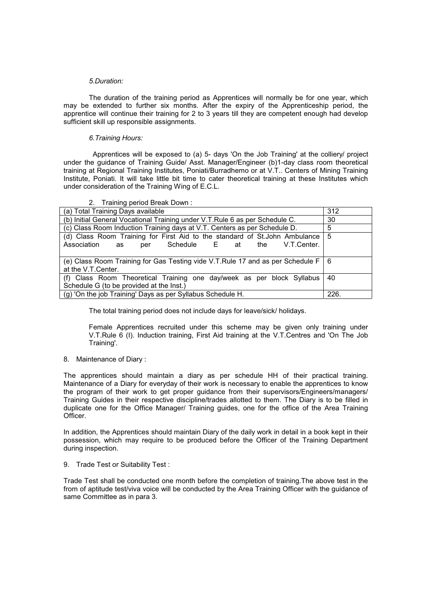#### *5.Duration:*

 The duration of the training period as Apprentices will normally be for one year, which may be extended to further six months. After the expiry of the Apprenticeship period, the apprentice will continue their training for 2 to 3 years till they are competent enough had develop sufficient skill up responsible assignments.

#### *6.Training Hours:*

 Apprentices will be exposed to (a) 5- days 'On the Job Training' at the colliery/ project under the guidance of Training Guide/ Asst. Manager/Engineer (b)1-day class room theoretical training at Regional Training Institutes, Poniati/Burradhemo or at V.T.. Centers of Mining Training Institute, Poniati. It will take little bit time to cater theoretical training at these Institutes which under consideration of the Training Wing of E.C.L.

2. Training period Break Down :

| (a) Total Training Days available                                                                                                             | 312  |
|-----------------------------------------------------------------------------------------------------------------------------------------------|------|
| (b) Initial General Vocational Training under V.T.Rule 6 as per Schedule C.                                                                   | 30   |
| (c) Class Room Induction Training days at V.T. Centers as per Schedule D.                                                                     | 5    |
| (d) Class Room Training for First Aid to the standard of St.John Ambulance<br>Schedule E at<br>Association<br>V.T.Center.<br>the<br>per<br>as | -5   |
| (e) Class Room Training for Gas Testing vide V.T.Rule 17 and as per Schedule F   6<br>at the V.T.Center.                                      |      |
| (f) Class Room Theoretical Training one day/week as per block Syllabus<br>Schedule G (to be provided at the Inst.)                            | 40   |
| (g) 'On the job Training' Days as per Syllabus Schedule H.                                                                                    | 226. |

The total training period does not include days for leave/sick/ holidays.

Female Apprentices recruited under this scheme may be given only training under V.T.Rule 6 (I). Induction training, First Aid training at the V.T.Centres and 'On The Job Training'.

8. Maintenance of Diary :

The apprentices should maintain a diary as per schedule HH of their practical training. Maintenance of a Diary for everyday of their work is necessary to enable the apprentices to know the program of their work to get proper guidance from their supervisors/Engineers/managers/ Training Guides in their respective discipline/trades allotted to them. The Diary is to be filled in duplicate one for the Office Manager/ Training guides, one for the office of the Area Training Officer.

In addition, the Apprentices should maintain Diary of the daily work in detail in a book kept in their possession, which may require to be produced before the Officer of the Training Department during inspection.

9. Trade Test or Suitability Test :

Trade Test shall be conducted one month before the completion of training.The above test in the from of aptitude test/viva voice will be conducted by the Area Training Officer with the guidance of same Committee as in para 3.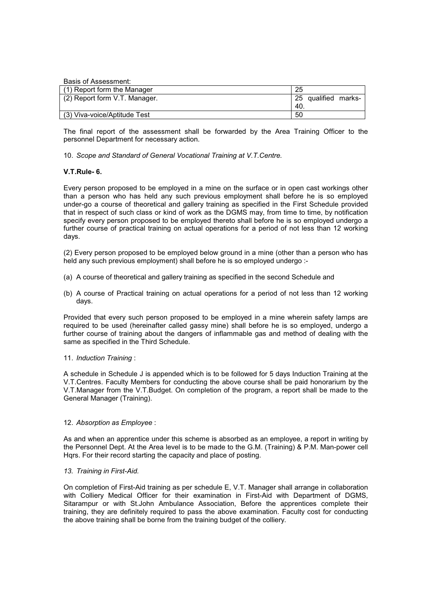Basis of Assessment:

| (1) Report form the Manager   | 25   |                     |  |
|-------------------------------|------|---------------------|--|
| (2) Report form V.T. Manager. |      | 25 qualified marks- |  |
|                               | -40. |                     |  |
| (3) Viva-voice/Aptitude Test  | 50   |                     |  |

The final report of the assessment shall be forwarded by the Area Training Officer to the personnel Department for necessary action.

10. *Scope and Standard of General Vocational Training at V.T.Centre.*

#### **V.T.Rule- 6.**

Every person proposed to be employed in a mine on the surface or in open cast workings other than a person who has held any such previous employment shall before he is so employed under-go a course of theoretical and gallery training as specified in the First Schedule provided that in respect of such class or kind of work as the DGMS may, from time to time, by notification specify every person proposed to be employed thereto shall before he is so employed undergo a further course of practical training on actual operations for a period of not less than 12 working days.

(2) Every person proposed to be employed below ground in a mine (other than a person who has held any such previous employment) shall before he is so employed undergo :-

- (a) A course of theoretical and gallery training as specified in the second Schedule and
- (b) A course of Practical training on actual operations for a period of not less than 12 working days.

Provided that every such person proposed to be employed in a mine wherein safety lamps are required to be used (hereinafter called gassy mine) shall before he is so employed, undergo a further course of training about the dangers of inflammable gas and method of dealing with the same as specified in the Third Schedule.

#### 11. *Induction Training* :

A schedule in Schedule J is appended which is to be followed for 5 days Induction Training at the V.T.Centres. Faculty Members for conducting the above course shall be paid honorarium by the V.T.Manager from the V.T.Budget. On completion of the program, a report shall be made to the General Manager (Training).

#### 12. *Absorption as Employee* :

As and when an apprentice under this scheme is absorbed as an employee, a report in writing by the Personnel Dept. At the Area level is to be made to the G.M. (Training) & P.M. Man-power cell Hqrs. For their record starting the capacity and place of posting.

#### *13. Training in First-Aid.*

On completion of First-Aid training as per schedule E, V.T. Manager shall arrange in collaboration with Colliery Medical Officer for their examination in First-Aid with Department of DGMS, Sitarampur or with St.John Ambulance Association, Before the apprentices complete their training, they are definitely required to pass the above examination. Faculty cost for conducting the above training shall be borne from the training budget of the colliery.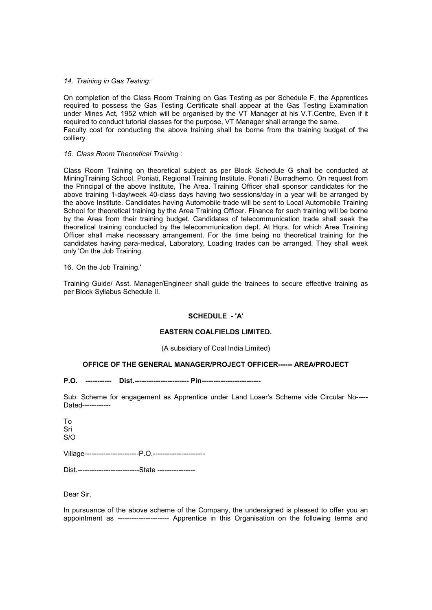#### *14. Training in Gas Testing:*

On completion of the Class Room Training on Gas Testing as per Schedule F, the Apprentices required to possess the Gas Testing Certificate shall appear at the Gas Testing Examination under Mines Act, 1952 which will be organised by the VT Manager at his V.T.Centre, Even if it required to conduct tutorial classes for the purpose, VT Manager shall arrange the same. Faculty cost for conducting the above training shall be borne from the training budget of the colliery.

#### *15. Class Room Theoretical Training :*

Class Room Training on theoretical subject as per Block Schedule G shall be conducted at MiningTraining School, Poniati, Regional Training Institute, Ponati / Burradhemo. On request from the Principal of the above Institute, The Area. Training Officer shall sponsor candidates for the above training 1-day/week 40-class days having two sessions/day in a year will be arranged by the above Institute. Candidates having Automobile trade will be sent to Local Automobile Training School for theoretical training by the Area Training Officer. Finance for such training will be borne by the Area from their training budget. Candidates of telecommunication trade shall seek the theoretical training conducted by the telecommunication dept. At Hqrs. for which Area Training Officer shall make necessary arrangement. For the time being no theoretical training for the candidates having para-medical, Laboratory, Loading trades can be arranged. They shall week only 'On the Job Training.

#### 16. On the Job Training.'

Training Guide/ Asst. Manager/Engineer shall guide the trainees to secure effective training as per Block Syllabus Schedule II.

#### **SCHEDULE - 'A'**

#### **EASTERN COALFIELDS LIMITED.**

(A subsidiary of Coal India Limited)

#### **OFFICE OF THE GENERAL MANAGER/PROJECT OFFICER------ AREA/PROJECT**

#### **P.O. ----------- Dist.----------------------- Pin-------------------------**

Sub: Scheme for engagement as Apprentice under Land Loser's Scheme vide Circular No----- Dated----

To Sri S/O Village-----------------------P.O.----------------------

Dist.--------------------------State ----------------

Dear Sir,

In pursuance of the above scheme of the Company, the undersigned is pleased to offer you an appointment as ---------------------- Apprentice in this Organisation on the following terms and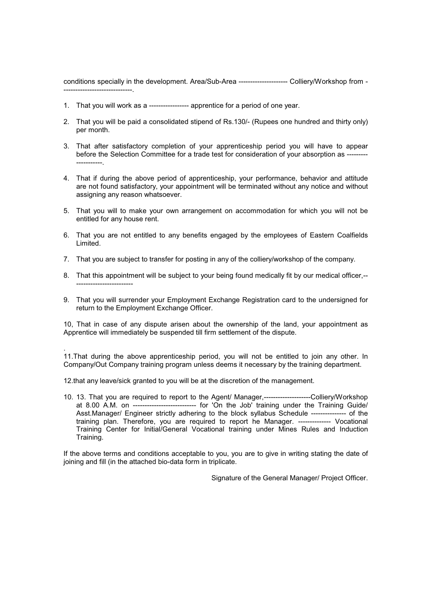conditions specially in the development. Area/Sub-Area --------------------- Colliery/Workshop from - -----------------------------.

- 1. That you will work as a ----------------- apprentice for a period of one year.
- 2. That you will be paid a consolidated stipend of Rs.130/- (Rupees one hundred and thirty only) per month.
- 3. That after satisfactory completion of your apprenticeship period you will have to appear before the Selection Committee for a trade test for consideration of your absorption as --------- -----------.
- 4. That if during the above period of apprenticeship, your performance, behavior and attitude are not found satisfactory, your appointment will be terminated without any notice and without assigning any reason whatsoever.
- 5. That you will to make your own arrangement on accommodation for which you will not be entitled for any house rent.
- 6. That you are not entitled to any benefits engaged by the employees of Eastern Coalfields Limited.
- 7. That you are subject to transfer for posting in any of the colliery/workshop of the company.
- 8. That this appointment will be subject to your being found medically fit by our medical officer,-- ------------------------
- 9. That you will surrender your Employment Exchange Registration card to the undersigned for return to the Employment Exchange Officer.

10, That in case of any dispute arisen about the ownership of the land, your appointment as Apprentice will immediately be suspended till firm settlement of the dispute.

. 11.That during the above apprenticeship period, you will not be entitled to join any other. In Company/Out Company training program unless deems it necessary by the training department.

12.that any leave/sick granted to you will be at the discretion of the management.

10. 13. That you are required to report to the Agent/ Manager,--------------------Colliery/Workshop at 8.00 A.M. on --------------------------- for 'On the Job' training under the Training Guide/ Asst.Manager/ Engineer strictly adhering to the block syllabus Schedule --------------- of the training plan. Therefore, you are required to report he Manager. -------------- Vocational Training Center for Initial/General Vocational training under Mines Rules and Induction Training.

If the above terms and conditions acceptable to you, you are to give in writing stating the date of joining and fill (in the attached bio-data form in triplicate.

Signature of the General Manager/ Project Officer.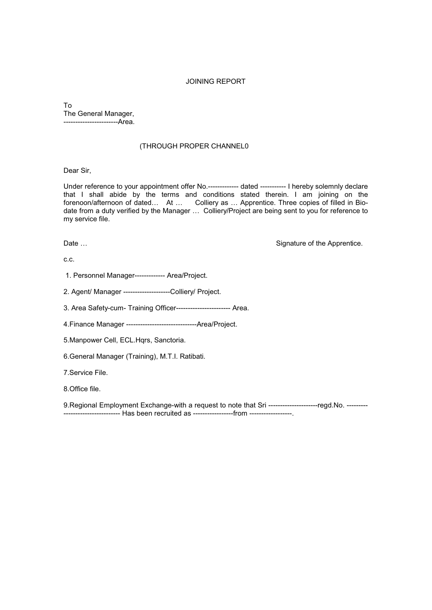#### JOINING REPORT

To The General Manager, -----------------------Area.

#### (THROUGH PROPER CHANNEL0

Dear Sir,

Under reference to your appointment offer No.------------- dated ----------- I hereby solemnly declare that I shall abide by the terms and conditions stated therein. I am joining on the forenoon/afternoon of dated… At … Colliery as … Apprentice. Three copies of filled in Biodate from a duty verified by the Manager … Colliery/Project are being sent to you for reference to my service file.

Date ...

c.c.

1. Personnel Manager------------- Area/Project.

2. Agent/ Manager --------------------Colliery/ Project.

3. Area Safety-cum- Training Officer----------------------- Area.

4.Finance Manager ------------------------------Area/Project.

5.Manpower Cell, ECL.Hqrs, Sanctoria.

6.General Manager (Training), M.T.I. Ratibati.

7.Service File.

8.Office file.

9.Regional Employment Exchange-with a request to note that Sri -----------------------regd.No. ------------------- Has been recruited as ------------------from -------------------.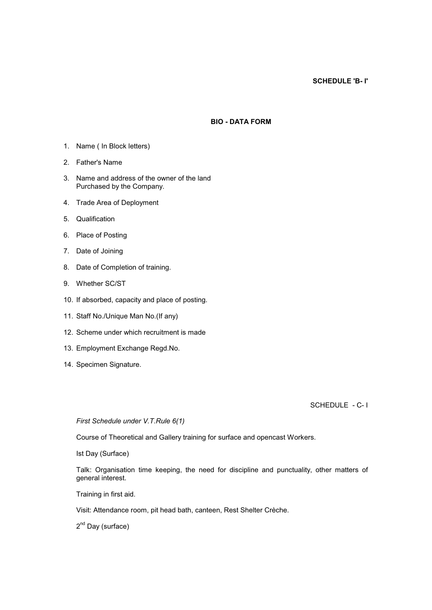#### **SCHEDULE 'B- I'**

#### **BIO - DATA FORM**

- 1. Name ( In Block letters)
- 2. Father's Name
- 3. Name and address of the owner of the land Purchased by the Company.
- 4. Trade Area of Deployment
- 5. Qualification
- 6. Place of Posting
- 7. Date of Joining
- 8. Date of Completion of training.
- 9. Whether SC/ST
- 10. If absorbed, capacity and place of posting.
- 11. Staff No./Unique Man No.(If any)
- 12. Scheme under which recruitment is made
- 13. Employment Exchange Regd.No.
- 14. Specimen Signature.

SCHEDULE - C- I

*First Schedule under V.T.Rule 6(1)* 

Course of Theoretical and Gallery training for surface and opencast Workers.

Ist Day (Surface)

Talk: Organisation time keeping, the need for discipline and punctuality, other matters of general interest.

Training in first aid.

Visit: Attendance room, pit head bath, canteen, Rest Shelter Crèche.

2<sup>nd</sup> Day (surface)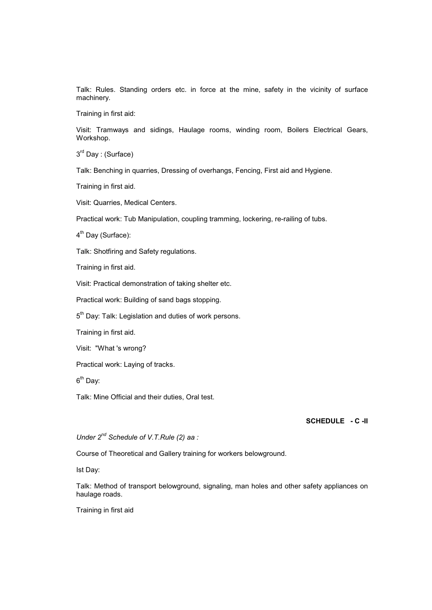Talk: Rules. Standing orders etc. in force at the mine, safety in the vicinity of surface machinery.

Training in first aid:

Visit: Tramways and sidings, Haulage rooms, winding room, Boilers Electrical Gears, Workshop.

3<sup>rd</sup> Day : (Surface)

Talk: Benching in quarries, Dressing of overhangs, Fencing, First aid and Hygiene.

Training in first aid.

Visit: Quarries, Medical Centers.

Practical work: Tub Manipulation, coupling tramming, lockering, re-railing of tubs.

4<sup>th</sup> Day (Surface):

Talk: Shotfiring and Safety regulations.

Training in first aid.

Visit: Practical demonstration of taking shelter etc.

Practical work: Building of sand bags stopping.

5<sup>th</sup> Day: Talk: Legislation and duties of work persons.

Training in first aid.

Visit: "What 's wrong?

Practical work: Laying of tracks.

 $6<sup>th</sup>$  Dav:

Talk: Mine Official and their duties, Oral test.

#### **SCHEDULE - C -II**

*Under 2nd Schedule of V.T.Rule (2) aa :* 

Course of Theoretical and Gallery training for workers belowground.

Ist Day:

Talk: Method of transport belowground, signaling, man holes and other safety appliances on haulage roads.

Training in first aid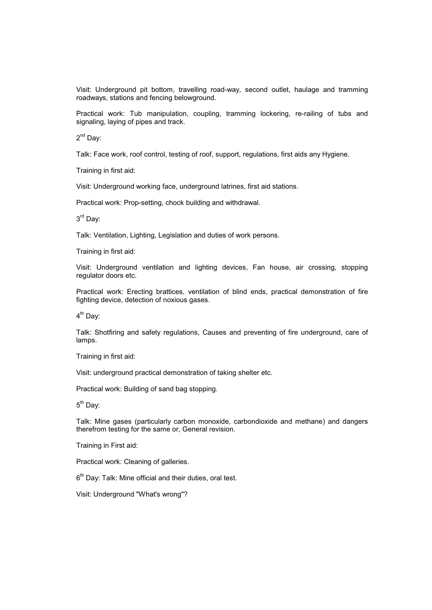Visit: Underground pit bottom, travelling road-way, second outlet, haulage and tramming roadways, stations and fencing belowground.

Practical work: Tub manipulation, coupling, tramming lockering, re-railing of tubs and signaling, laying of pipes and track.

2<sup>nd</sup> Day:

Talk: Face work, roof control, testing of roof, support, regulations, first aids any Hygiene.

Training in first aid:

Visit: Underground working face, underground latrines, first aid stations.

Practical work: Prop-setting, chock building and withdrawal.

3rd Day:

Talk: Ventilation, Lighting, Legislation and duties of work persons.

Training in first aid:

Visit: Underground ventilation and lighting devices, Fan house, air crossing, stopping regulator doors etc.

Practical work: Erecting brattices, ventilation of blind ends, practical demonstration of fire fighting device, detection of noxious gases.

 $4<sup>th</sup>$  Dav:

Talk: Shotfiring and safety regulations, Causes and preventing of fire underground, care of lamps.

Training in first aid:

Visit: underground practical demonstration of taking shelter etc.

Practical work: Building of sand bag stopping.

 $5<sup>th</sup>$  Day:

Talk: Mine gases (particularly carbon monoxide, carbondioxide and methane) and dangers therefrom testing for the same or, General revision.

Training in First aid:

Practical work: Cleaning of galleries.

 $6<sup>th</sup>$  Day: Talk: Mine official and their duties, oral test.

Visit: Underground "What's wrong"?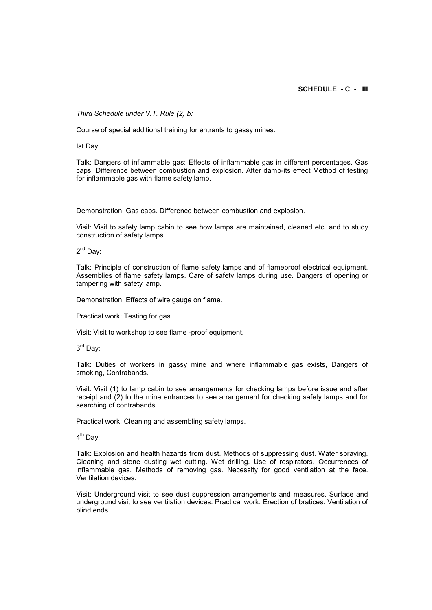#### **SCHEDULE - C - III**

*Third Schedule under V.T. Rule (2) b:*

Course of special additional training for entrants to gassy mines.

Ist Day:

Talk: Dangers of inflammable gas: Effects of inflammable gas in different percentages. Gas caps, Difference between combustion and explosion. After damp-its effect Method of testing for inflammable gas with flame safety lamp.

Demonstration: Gas caps. Difference between combustion and explosion.

Visit: Visit to safety lamp cabin to see how lamps are maintained, cleaned etc. and to study construction of safety lamps.

 $2^{nd}$  Dav:

Talk: Principle of construction of flame safety lamps and of flameproof electrical equipment. Assemblies of flame safety lamps. Care of safety lamps during use. Dangers of opening or tampering with safety lamp.

Demonstration: Effects of wire gauge on flame.

Practical work: Testing for gas.

Visit: Visit to workshop to see flame -proof equipment.

3rd Day:

Talk: Duties of workers in gassy mine and where inflammable gas exists, Dangers of smoking, Contrabands.

Visit: Visit (1) to lamp cabin to see arrangements for checking lamps before issue and after receipt and (2) to the mine entrances to see arrangement for checking safety lamps and for searching of contrabands.

Practical work: Cleaning and assembling safety lamps.

4<sup>th</sup> Day:

Talk: Explosion and health hazards from dust. Methods of suppressing dust. Water spraying. Cleaning and stone dusting wet cutting. Wet drilling. Use of respirators. Occurrences of inflammable gas. Methods of removing gas. Necessity for good ventilation at the face. Ventilation devices.

Visit: Underground visit to see dust suppression arrangements and measures. Surface and underground visit to see ventilation devices. Practical work: Erection of bratices. Ventilation of blind ends.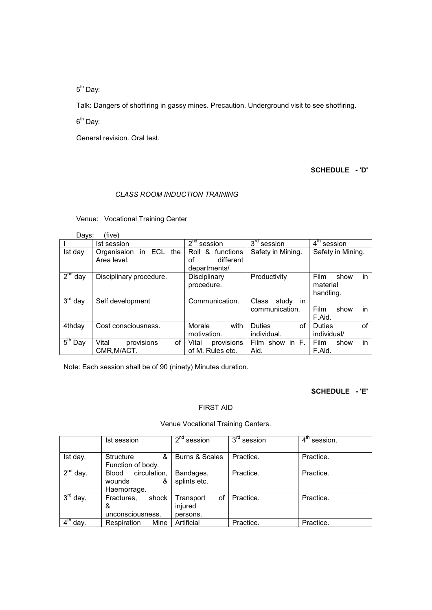5<sup>th</sup> Day:

Talk: Dangers of shotfiring in gassy mines. Precaution. Underground visit to see shotfiring.

 $6<sup>th</sup>$  Day:

General revision. Oral test.

## **SCHEDULE - 'D'**

## *CLASS ROOM INDUCTION TRAINING*

Venue: Vocational Training Center

| Days:                        | (five)                                         |                                                           |                                                   |                                             |
|------------------------------|------------------------------------------------|-----------------------------------------------------------|---------------------------------------------------|---------------------------------------------|
|                              | Ist session                                    | 2 <sup>nd</sup><br>session                                | $3^{\text{rd}}$<br>session                        | $4^{\text{in}}$<br>session                  |
| Ist day                      | ECL<br>in<br>Organisaion<br>the<br>Area level. | functions<br>&<br>Roll<br>Ωf<br>different<br>departments/ | Safety in Mining.                                 | Safety in Mining.                           |
| $2^{nd}$<br>day              | Disciplinary procedure.                        | Disciplinary<br>procedure.                                | Productivity                                      | in<br>Film<br>show<br>material<br>handling. |
| $3^{\overline{r}\sigma}$ day | Self development                               | Communication.                                            | Class<br>study<br><sub>in</sub><br>communication. | Film<br>show<br>in.<br>F.Aid.               |
| 4thday                       | Cost consciousness.                            | with<br>Morale<br>motivation.                             | <b>Duties</b><br>οf<br>individual.                | of<br><b>Duties</b><br>individual/          |
| 5 <sup>th</sup><br>Day       | provisions<br>Vital<br>of<br>CMR, M/ACT.       | provisions<br>Vital<br>of M. Rules etc.                   | Film show in F.<br>Aid.                           | in<br>Film<br>show<br>F.Aid.                |

Note: Each session shall be of 90 (ninety) Minutes duration.

## **SCHEDULE - 'E'**

#### FIRST AID

## Venue Vocational Training Centers.

|                      | Ist session                                                | $2nd$ session                          | $3rd$ session | $4th$ session. |
|----------------------|------------------------------------------------------------|----------------------------------------|---------------|----------------|
| Ist day.             | &<br><b>Structure</b><br>Function of body.                 | <b>Burns &amp; Scales</b>              | Practice.     | Practice.      |
| $\sqrt{2^{nd}}$ day. | circulation,<br><b>Blood</b><br>wounds<br>&<br>Haemorrage. | Bandages,<br>splints etc.              | Practice.     | Practice.      |
| $3rd$ day.           | Fractures,<br>shock<br>&<br>unconsciousness.               | Transport<br>οf<br>injured<br>persons. | Practice.     | Practice.      |
| day.                 | Respiration<br>Mine                                        | Artificial                             | Practice.     | Practice.      |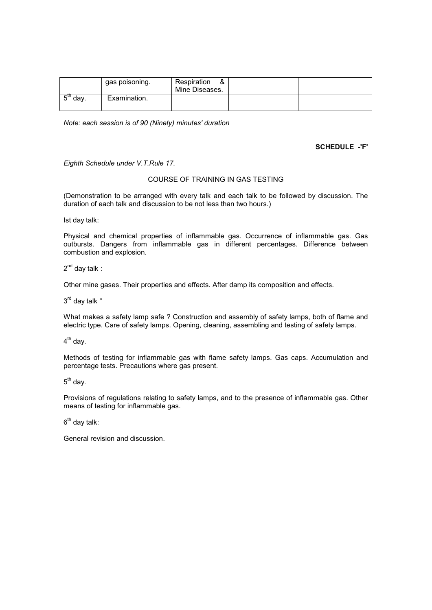|                      | gas poisoning. | Respiration<br>&<br>Mine Diseases. |  |
|----------------------|----------------|------------------------------------|--|
| 5 <sup>th</sup> day. | Examination.   |                                    |  |

*Note: each session is of 90 (Ninety) minutes' duration* 

#### **SCHEDULE -'F'**

*Eighth Schedule under V.T.Rule 17.* 

#### COURSE OF TRAINING IN GAS TESTING

(Demonstration to be arranged with every talk and each talk to be followed by discussion. The duration of each talk and discussion to be not less than two hours.)

Ist day talk:

Physical and chemical properties of inflammable gas. Occurrence of inflammable gas. Gas outbursts. Dangers from inflammable gas in different percentages. Difference between combustion and explosion.

 $2^{nd}$  day talk :

Other mine gases. Their properties and effects. After damp its composition and effects.

 $3<sup>rd</sup>$  day talk "

What makes a safety lamp safe ? Construction and assembly of safety lamps, both of flame and electric type. Care of safety lamps. Opening, cleaning, assembling and testing of safety lamps.

 $4<sup>th</sup>$  day.

Methods of testing for inflammable gas with flame safety lamps. Gas caps. Accumulation and percentage tests. Precautions where gas present.

 $5<sup>th</sup>$  day.

Provisions of regulations relating to safety lamps, and to the presence of inflammable gas. Other means of testing for inflammable gas.

 $6<sup>th</sup>$  day talk:

General revision and discussion.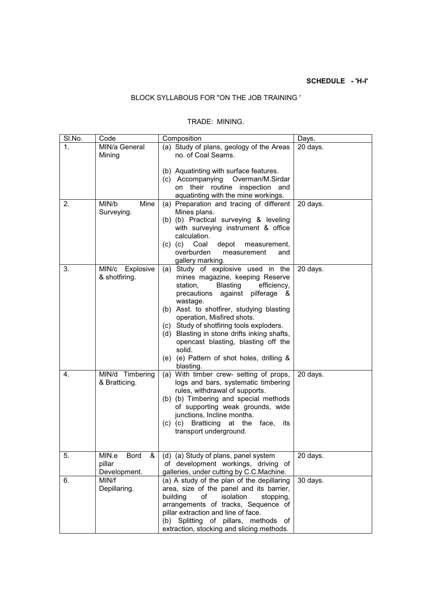## **SCHEDULE - 'H-I'**

## BLOCK SYLLABOUS FOR "ON THE JOB TRAINING '

## TRADE: MINING.

| SI.No. | Code                                                | Composition                                                                                                                                                                                                                                                                                                                                                                                                                                            | Days.    |
|--------|-----------------------------------------------------|--------------------------------------------------------------------------------------------------------------------------------------------------------------------------------------------------------------------------------------------------------------------------------------------------------------------------------------------------------------------------------------------------------------------------------------------------------|----------|
| 1.     | MIN/a General<br>Mining                             | (a) Study of plans, geology of the Areas<br>no. of Coal Seams.<br>(b) Aquatinting with surface features.<br>(c) Accompanying Overman/M.Sirdar<br>their routine inspection and<br>on<br>aquatinting with the mine workings.                                                                                                                                                                                                                             | 20 days. |
| 2.     | MIN/b<br>Mine<br>Surveying.                         | (a) Preparation and tracing of different<br>Mines plans.<br>(b) (b) Practical surveying & leveling<br>with surveying instrument & office<br>calculation.<br>$(c)$ $(c)$ Coal<br>depot<br>measurement,<br>overburden<br>measurement<br>and<br>gallery marking.                                                                                                                                                                                          | 20 days. |
| 3.     | MIN/c Explosive<br>& shotfiring.                    | (a) Study of explosive used in the<br>mines magazine, keeping Reserve<br>station,<br><b>Blasting</b><br>efficiency,<br>precautions against<br>pilferage &<br>wastage.<br>(b) Asst. to shotfirer, studying blasting<br>operation, Misfired shots.<br>(c) Study of shotfiring tools exploders.<br>(d) Blasting in stone drifts inking shafts,<br>opencast blasting, blasting off the<br>solid.<br>(e) (e) Pattern of shot holes, drilling &<br>blasting. | 20 days. |
| 4.     | MIN/d Timbering<br>& Bratticing.                    | (a) With timber crew- setting of props,<br>logs and bars, systematic timbering<br>rules, withdrawal of supports.<br>(b) (b) Timbering and special methods<br>of supporting weak grounds, wide<br>junctions, Incline months.<br>(c) (c) Bratticing at the<br>face,<br>its<br>transport underground.                                                                                                                                                     | 20 days. |
| 5.     | MIN.e<br>&<br><b>Bord</b><br>pillar<br>Development. | (d) (a) Study of plans, panel system<br>of development workings, driving of<br>galleries, under cutting by C.C.Machine.                                                                                                                                                                                                                                                                                                                                | 20 days. |
| 6.     | MIN/f<br>Depillaring.                               | (a) A study of the plan of the depillaring<br>area, size of the panel and its barrier,<br>building<br>of<br>isolation<br>stopping,<br>arrangements of tracks, Sequence of<br>pillar extraction and line of face.<br>Splitting of pillars, methods of<br>(b)<br>extraction, stocking and slicing methods.                                                                                                                                               | 30 days. |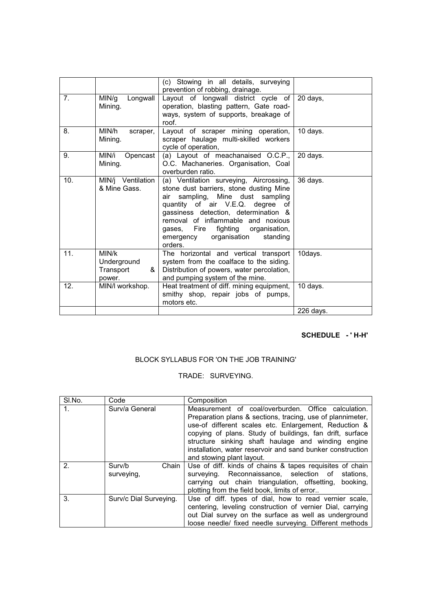|                |                                                  | (c) Stowing in all details, surveying<br>prevention of robbing, drainage.                                                                                                                                                                                                                                                                         |           |
|----------------|--------------------------------------------------|---------------------------------------------------------------------------------------------------------------------------------------------------------------------------------------------------------------------------------------------------------------------------------------------------------------------------------------------------|-----------|
| 7 <sub>1</sub> | MIN/g<br>Longwall<br>Mining.                     | Layout of longwall district cycle of<br>operation, blasting pattern, Gate road-<br>ways, system of supports, breakage of<br>roof.                                                                                                                                                                                                                 | 20 days,  |
| 8.             | MIN/h<br>scraper,<br>Mining.                     | Layout of scraper mining operation,<br>scraper haulage multi-skilled workers<br>cycle of operation,                                                                                                                                                                                                                                               | 10 days.  |
| 9.             | MIN/i<br>Opencast<br>Mining.                     | (a) Layout of meachanaised O.C.P.,<br>O.C. Machaneries. Organisation, Coal<br>overburden ratio.                                                                                                                                                                                                                                                   | 20 days.  |
| 10.            | MIN/j Ventilation<br>& Mine Gass.                | (a) Ventilation surveying, Aircrossing,<br>stone dust barriers, stone dusting Mine<br>sampling, Mine dust sampling<br>air<br>quantity of air V.E.Q. degree<br>of<br>gassiness detection, determination &<br>removal of inflammable and noxious<br>fighting<br>Fire<br>organisation,<br>gases,<br>organisation<br>standing<br>emergency<br>orders. | 36 days.  |
| 11.            | MIN/k<br>Underground<br>Transport<br>&<br>power. | The horizontal and vertical transport<br>system from the coalface to the siding.<br>Distribution of powers, water percolation,<br>and pumping system of the mine.                                                                                                                                                                                 | 10days.   |
| 12.            | MIN/I workshop.                                  | Heat treatment of diff. mining equipment,<br>smithy shop, repair jobs of pumps,<br>motors etc.                                                                                                                                                                                                                                                    | 10 days.  |
|                |                                                  |                                                                                                                                                                                                                                                                                                                                                   | 226 days. |

## **SCHEDULE - ' H-H'**

## BLOCK SYLLABUS FOR 'ON THE JOB TRAINING'

## TRADE: SURVEYING.

| SI.No. | Code                          | Composition                                                                                                                                                                                                                                                                                                                                                                             |
|--------|-------------------------------|-----------------------------------------------------------------------------------------------------------------------------------------------------------------------------------------------------------------------------------------------------------------------------------------------------------------------------------------------------------------------------------------|
|        | Surv/a General                | Measurement of coal/overburden. Office calculation.<br>Preparation plans & sections, tracing, use of plannimeter,<br>use-of different scales etc. Enlargement, Reduction &<br>copying of plans. Study of buildings, fan drift, surface<br>structure sinking shaft haulage and winding engine<br>installation, water reservoir and sand bunker construction<br>and stowing plant layout. |
| 2.     | Surv/b<br>Chain<br>surveying, | Use of diff. kinds of chains & tapes requisites of chain<br>surveying. Reconnaissance, selection of stations,<br>carrying out chain triangulation, offsetting,<br>booking.<br>plotting from the field book, limits of error                                                                                                                                                             |
| 3.     | Surv/c Dial Surveying.        | Use of diff. types of dial, how to read vernier scale,<br>centering, leveling construction of vernier Dial, carrying<br>out Dial survey on the surface as well as underground<br>loose needle/ fixed needle surveying. Different methods                                                                                                                                                |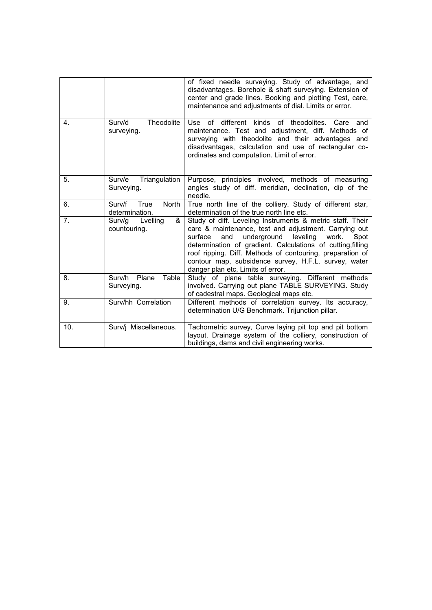|     |                                           | of fixed needle surveying. Study of advantage, and<br>disadvantages. Borehole & shaft surveying. Extension of<br>center and grade lines. Booking and plotting Test, care,<br>maintenance and adjustments of dial. Limits or error.                                                                                                                                                                        |
|-----|-------------------------------------------|-----------------------------------------------------------------------------------------------------------------------------------------------------------------------------------------------------------------------------------------------------------------------------------------------------------------------------------------------------------------------------------------------------------|
| 4.  | Theodolite<br>Surv/d<br>surveying.        | Use of<br>different kinds of theodolites.<br>Care and<br>maintenance. Test and adjustment, diff. Methods of<br>surveying with theodolite and their advantages and<br>disadvantages, calculation and use of rectangular co-<br>ordinates and computation. Limit of error.                                                                                                                                  |
| 5.  | Triangulation<br>Surv/e<br>Surveying.     | Purpose, principles involved, methods of measuring<br>angles study of diff. meridian, declination, dip of the<br>needle.                                                                                                                                                                                                                                                                                  |
| 6.  | Surv/f<br>North<br>True<br>determination. | True north line of the colliery. Study of different star,<br>determination of the true north line etc.                                                                                                                                                                                                                                                                                                    |
| 7.  | Surv/g<br>Lvelling<br>&<br>countouring.   | Study of diff. Leveling Instruments & metric staff. Their<br>care & maintenance, test and adjustment. Carrying out<br>leveling<br>surface<br>and<br>underground<br>work.<br>Spot<br>determination of gradient. Calculations of cutting, filling<br>roof ripping. Diff. Methods of contouring, preparation of<br>contour map, subsidence survey, H.F.L. survey, water<br>danger plan etc, Limits of error. |
| 8.  | Table<br>Surv/h<br>Plane<br>Surveying.    | Study of plane table surveying. Different methods<br>involved. Carrying out plane TABLE SURVEYING. Study<br>of cadestral maps. Geological maps etc.                                                                                                                                                                                                                                                       |
| 9.  | Surv/hh Correlation                       | Different methods of correlation survey. Its accuracy,<br>determination U/G Benchmark. Trijunction pillar.                                                                                                                                                                                                                                                                                                |
| 10. | Surv/j Miscellaneous.                     | Tachometric survey, Curve laying pit top and pit bottom<br>layout. Drainage system of the colliery, construction of<br>buildings, dams and civil engineering works.                                                                                                                                                                                                                                       |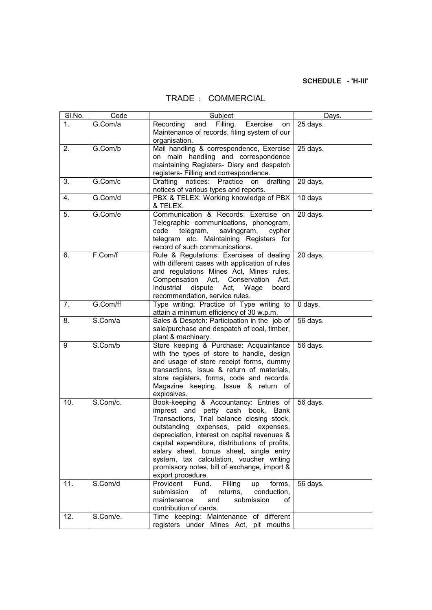## **SCHEDULE - 'H-III'**

# TRADE : COMMERCIAL

| SI.No. | Code     | Subject                                                                                                                                                                                                                                                                                                                                                                                                                         | Days.    |
|--------|----------|---------------------------------------------------------------------------------------------------------------------------------------------------------------------------------------------------------------------------------------------------------------------------------------------------------------------------------------------------------------------------------------------------------------------------------|----------|
| 1.     | G.Com/a  | Filling,<br>Recording<br>and<br>Exercise<br>on<br>Maintenance of records, filing system of our<br>organisation.                                                                                                                                                                                                                                                                                                                 | 25 days. |
| 2.     | G.Com/b  | Mail handling & correspondence, Exercise<br>on main handling and correspondence<br>maintaining Registers- Diary and despatch<br>registers- Filling and correspondence.                                                                                                                                                                                                                                                          | 25 days. |
| 3.     | G.Com/c  | notices: Practice<br>Drafting<br>on<br>drafting<br>notices of various types and reports.                                                                                                                                                                                                                                                                                                                                        | 20 days, |
| 4.     | G.Com/d  | PBX & TELEX: Working knowledge of PBX<br>& TELEX.                                                                                                                                                                                                                                                                                                                                                                               | 10 days  |
| 5.     | G.Com/e  | Communication & Records: Exercise on<br>Telegraphic communications, phonogram,<br>telegram,<br>savinggram,<br>code<br>cypher<br>telegram etc. Maintaining Registers for<br>record of such communications.                                                                                                                                                                                                                       | 20 days. |
| 6.     | F.Com/f  | Rule & Regulations: Exercises of dealing<br>with different cases with application of rules<br>and regulations Mines Act, Mines rules,<br>Compensation Act, Conservation<br>Act.<br>Industrial dispute Act, Wage<br>board<br>recommendation, service rules.                                                                                                                                                                      | 20 days, |
| 7.     | G.Com/ff | Type writing: Practice of Type writing to<br>attain a minimum efficiency of 30 w.p.m.                                                                                                                                                                                                                                                                                                                                           | 0 days,  |
| 8.     | S.Com/a  | Sales & Desptch: Participation in the job of<br>sale/purchase and despatch of coal, timber,<br>plant & machinery.                                                                                                                                                                                                                                                                                                               | 56 days. |
| 9      | S.Com/b  | Store keeping & Purchase: Acquaintance<br>with the types of store to handle, design<br>and usage of store receipt forms, dummy<br>transactions, Issue & return of materials,<br>store registers, forms, code and records.<br>Magazine keeping. Issue & return of<br>explosives.                                                                                                                                                 | 56 days. |
| 10.    | S.Com/c. | Book-keeping & Accountancy: Entries of<br>imprest and petty cash book, Bank<br>Transactions, Trial balance closing stock,<br>outstanding expenses, paid expenses,<br>depreciation, interest on capital revenues &<br>capital expenditure, distributions of profits,<br>salary sheet, bonus sheet, single entry<br>system, tax calculation, voucher writing<br>promissory notes, bill of exchange, import &<br>export procedure. | 56 days. |
| 11.    | S.Com/d  | Provident<br>Filling<br>Fund.<br>forms,<br>up<br>submission<br>of<br>returns,<br>conduction,<br>maintenance<br>submission<br>and<br>οf<br>contribution of cards.                                                                                                                                                                                                                                                                | 56 days. |
| 12.    | S.Com/e. | Time keeping: Maintenance of different<br>registers under Mines Act, pit mouths                                                                                                                                                                                                                                                                                                                                                 |          |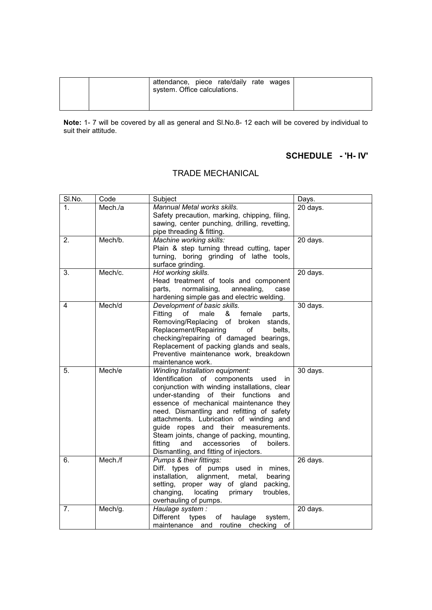| attendance, piece rate/daily rate wages<br>system. Office calculations. |  |
|-------------------------------------------------------------------------|--|
|-------------------------------------------------------------------------|--|

**Note:** 1- 7 will be covered by all as general and Sl.No.8- 12 each will be covered by individual to suit their attitude.

# **SCHEDULE - 'H- IV'**

# TRADE MECHANICAL

| SI.No. | Code    | Subject                                                                                                                                                                                                                                                                                                                                                                                                                                                                                      | Days.    |
|--------|---------|----------------------------------------------------------------------------------------------------------------------------------------------------------------------------------------------------------------------------------------------------------------------------------------------------------------------------------------------------------------------------------------------------------------------------------------------------------------------------------------------|----------|
| 1.     | Mech./a | Mannual Metal works skills.<br>Safety precaution, marking, chipping, filing,<br>sawing, center punching, drilling, revetting,<br>pipe threading & fitting.                                                                                                                                                                                                                                                                                                                                   | 20 days. |
| 2.     | Mech/b. | Machine working skills:<br>Plain & step turning thread cutting, taper<br>turning, boring grinding of lathe tools,<br>surface grinding.                                                                                                                                                                                                                                                                                                                                                       | 20 days. |
| 3.     | Mech/c. | Hot working skills.<br>Head treatment of tools and component<br>normalising,<br>annealing,<br>parts,<br>case<br>hardening simple gas and electric welding.                                                                                                                                                                                                                                                                                                                                   | 20 days. |
| 4      | Mech/d  | Development of basic skills.<br>of<br>Fitting<br>male<br>&<br>female<br>parts,<br>Removing/Replacing of broken<br>stands,<br>Replacement/Repairing<br>of<br>belts,<br>checking/repairing of damaged bearings,<br>Replacement of packing glands and seals,<br>Preventive maintenance work, breakdown<br>maintenance work.                                                                                                                                                                     | 30 days. |
| 5.     | Mech/e  | Winding Installation equipment:<br>Identification of components used<br>in.<br>conjunction with winding installations, clear<br>under-standing of their functions<br>and<br>essence of mechanical maintenance they<br>need. Dismantling and refitting of safety<br>attachments. Lubrication of winding and<br>guide ropes and their measurements.<br>Steam joints, change of packing, mounting,<br>fitting<br>and<br>accessories<br>of<br>boilers.<br>Dismantling, and fitting of injectors. | 30 days. |
| 6.     | Mech./f | Pumps & their fittings:<br>Diff. types of pumps used in mines,<br>alignment,<br>installation,<br>bearing<br>metal,<br>setting, proper way of gland<br>packing,<br>changing,<br>locating<br>primary<br>troubles,<br>overhauling of pumps.                                                                                                                                                                                                                                                     | 26 days. |
| 7.     | Mech/g. | Haulage system :<br><b>Different</b><br>types<br>haulage<br>system,<br>of<br>maintenance<br>and<br>routine checking<br>of                                                                                                                                                                                                                                                                                                                                                                    | 20 days. |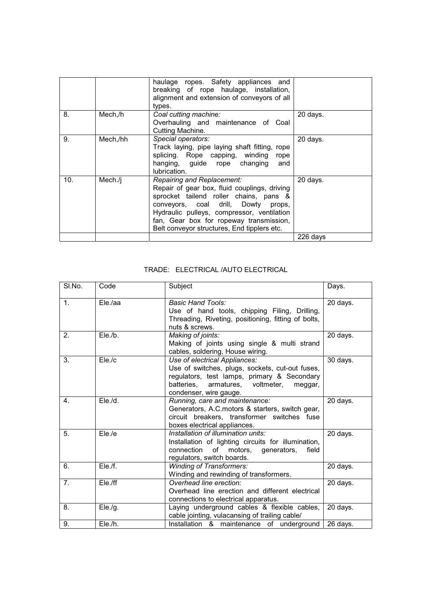|     |          | haulage ropes. Safety appliances and<br>breaking of rope haulage, installation,<br>alignment and extension of conveyors of all<br>types.                                                                                                                                                            |          |
|-----|----------|-----------------------------------------------------------------------------------------------------------------------------------------------------------------------------------------------------------------------------------------------------------------------------------------------------|----------|
| 8.  | Mech,/h  | Coal cutting machine:<br>Overhauling and maintenance of Coal<br>Cutting Machine.                                                                                                                                                                                                                    | 20 days. |
| 9.  | Mech,/hh | Special operators:<br>Track laying, pipe laying shaft fitting, rope<br>splicing. Rope capping, winding<br>rope<br>hanging, guide rope changing<br>and<br>lubrication.                                                                                                                               | 20 days. |
| 10. | Mech./j  | Repairing and Replacement:<br>Repair of gear box, fluid couplings, driving<br>sprocket tailend roller chains, pans &<br>conveyors, coal drill, Dowty props,<br>Hydraulic pulleys, compressor, ventilation<br>fan, Gear box for ropeway transmission,<br>Belt conveyor structures, End tipplers etc. | 20 days. |
|     |          |                                                                                                                                                                                                                                                                                                     | 226 days |

## TRADE: ELECTRICAL /AUTO ELECTRICAL

| SI.No.         | Code         | Subject                                                                                                                                                                                                     | Days.    |
|----------------|--------------|-------------------------------------------------------------------------------------------------------------------------------------------------------------------------------------------------------------|----------|
| 1 <sub>1</sub> | Ele./aa      | Basic Hand Tools:<br>Use of hand tools, chipping Filing, Drilling,<br>Threading, Riveting, positioning, fitting of bolts,<br>nuts & screws.                                                                 | 20 days. |
| 2.             | $Ele/h$ .    | Making of joints:<br>Making of joints using single & multi strand<br>cables, soldering, House wiring.                                                                                                       | 20 days. |
| 3.             | $Ele$ ./ $c$ | Use of electrical Appliances:<br>Use of switches, plugs, sockets, cut-out fuses,<br>regulators, test lamps, primary & Secondary<br>batteries,<br>armatures, voltmeter,<br>meggar,<br>condenser, wire gauge. | 30 days. |
| 4 <sup>2</sup> | Ele./d.      | Running, care and maintenance:<br>Generators, A.C.motors & starters, switch gear,<br>circuit breakers, transformer switches fuse<br>boxes electrical appliances.                                            | 20 days. |
| 5.             | Ele.fe       | Installation of illumination units:<br>Installation of lighting circuits for illumination,<br>connection<br>of motors, generators,<br>field<br>regulators, switch boards.                                   | 20 days. |
| 6.             | Ele./f.      | <b>Winding of Transformers:</b><br>Winding and rewinding of transformers.                                                                                                                                   | 20 days. |
| 7 <sub>1</sub> | Ele./ff      | Overhead line erection:<br>Overhead line erection and different electrical<br>connections to electrical apparatus.                                                                                          | 20 days. |
| 8.             | Ele./g.      | Laying underground cables & flexible cables,<br>cable jointing, vulacansing of trailing cable/                                                                                                              | 20 days. |
| 9.             | Ele./h.      | Installation & maintenance of underground                                                                                                                                                                   | 26 days. |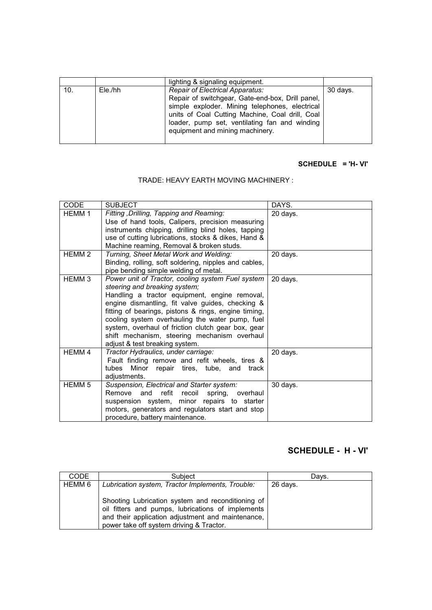|     |         | lighting & signaling equipment.                                                                                                                                                                                                                                                     |          |
|-----|---------|-------------------------------------------------------------------------------------------------------------------------------------------------------------------------------------------------------------------------------------------------------------------------------------|----------|
| 10. | Ele./hh | <b>Repair of Electrical Apparatus:</b><br>Repair of switchgear, Gate-end-box, Drill panel,<br>simple exploder. Mining telephones, electrical<br>units of Coal Cutting Machine, Coal drill, Coal<br>loader, pump set, ventilating fan and winding<br>equipment and mining machinery. | 30 days. |

# **SCHEDULE = 'H- VI'**

## TRADE: HEAVY EARTH MOVING MACHINERY :

| <b>CODE</b>       | <b>SUBJECT</b>                                                                                          | DAYS.    |
|-------------------|---------------------------------------------------------------------------------------------------------|----------|
| <b>HEMM1</b>      | Fitting, Drilling, Tapping and Reaming:                                                                 | 20 days. |
|                   | Use of hand tools, Calipers, precision measuring<br>instruments chipping, drilling blind holes, tapping |          |
|                   | use of cutting lubrications, stocks & dikes, Hand &                                                     |          |
|                   | Machine reaming, Removal & broken studs.                                                                |          |
| HEMM <sub>2</sub> | Turning, Sheet Metal Work and Welding:                                                                  | 20 days. |
|                   | Binding, rolling, soft soldering, nipples and cables,                                                   |          |
|                   | pipe bending simple welding of metal.                                                                   |          |
| HEMM <sub>3</sub> | Power unit of Tractor, cooling system Fuel system                                                       | 20 days. |
|                   | steering and breaking system;                                                                           |          |
|                   | Handling a tractor equipment, engine removal,                                                           |          |
|                   | engine dismantling, fit valve guides, checking &                                                        |          |
|                   | fitting of bearings, pistons & rings, engine timing,                                                    |          |
|                   | cooling system overhauling the water pump, fuel                                                         |          |
|                   | system, overhaul of friction clutch gear box, gear                                                      |          |
|                   | shift mechanism, steering mechanism overhaul                                                            |          |
|                   | adjust & test breaking system.                                                                          |          |
| HEMM 4            | Tractor Hydraulics, under carriage:                                                                     | 20 days. |
|                   | Fault finding remove and refit wheels, tires &                                                          |          |
|                   | tubes Minor repair tires, tube, and<br>track<br>adjustments.                                            |          |
| <b>HEMM 5</b>     | Suspension, Electrical and Starter system:                                                              | 30 days. |
|                   | Remove and refit recoil spring, overhaul                                                                |          |
|                   | suspension system, minor repairs to starter                                                             |          |
|                   | motors, generators and regulators start and stop                                                        |          |
|                   | procedure, battery maintenance.                                                                         |          |

# **SCHEDULE - H - VI'**

| <b>CODE</b> | Subiect                                           | Davs.    |
|-------------|---------------------------------------------------|----------|
| HEMM 6      | Lubrication system, Tractor Implements, Trouble:  | 26 days. |
|             |                                                   |          |
|             | Shooting Lubrication system and reconditioning of |          |
|             | oil fitters and pumps, lubrications of implements |          |
|             | and their application adjustment and maintenance, |          |
|             | power take off system driving & Tractor.          |          |